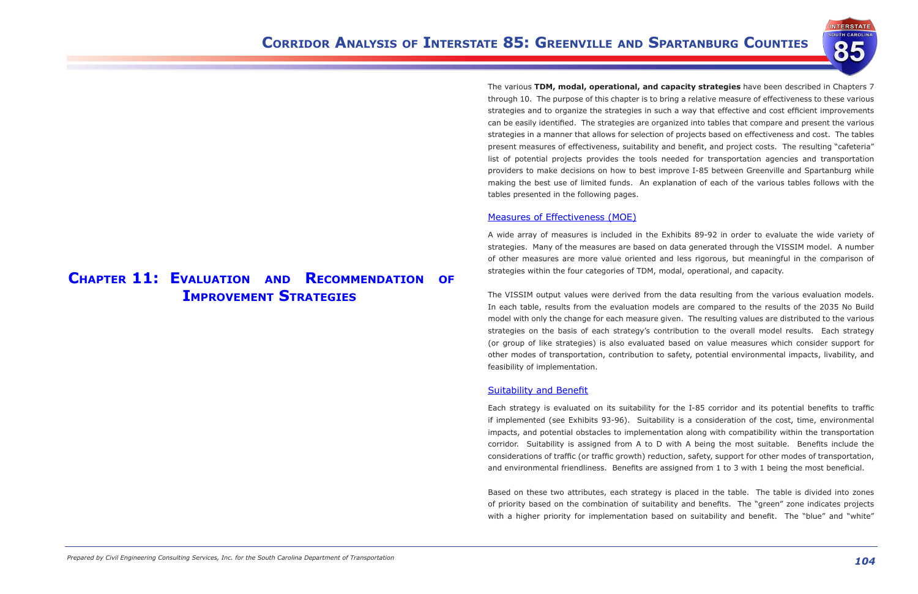**NTERSTATE TH CAROL** 

**Chapter 11: Evaluation and Recommendation of Improvement Strategies**

The various **TDM, modal, operational, and capacity strategies** have been described in Chapters 7 through 10. The purpose of this chapter is to bring a relative measure of effectiveness to these various strategies and to organize the strategies in such a way that effective and cost efficient improvements can be easily identified. The strategies are organized into tables that compare and present the various strategies in a manner that allows for selection of projects based on effectiveness and cost. The tables present measures of effectiveness, suitability and benefit, and project costs. The resulting "cafeteria" list of potential projects provides the tools needed for transportation agencies and transportation providers to make decisions on how to best improve I-85 between Greenville and Spartanburg while making the best use of limited funds. An explanation of each of the various tables follows with the tables presented in the following pages.

## Measures of Effectiveness (MOE)

A wide array of measures is included in the Exhibits 89-92 in order to evaluate the wide variety of strategies. Many of the measures are based on data generated through the VISSIM model. A number of other measures are more value oriented and less rigorous, but meaningful in the comparison of strategies within the four categories of TDM, modal, operational, and capacity.

Based on these two attributes, each strategy is placed in the table. The table is divided into zones of priority based on the combination of suitability and benefits. The "green" zone indicates projects with a higher priority for implementation based on suitability and benefit. The "blue" and "white"

The VISSIM output values were derived from the data resulting from the various evaluation models. In each table, results from the evaluation models are compared to the results of the 2035 No Build model with only the change for each measure given. The resulting values are distributed to the various strategies on the basis of each strategy's contribution to the overall model results. Each strategy (or group of like strategies) is also evaluated based on value measures which consider support for other modes of transportation, contribution to safety, potential environmental impacts, livability, and feasibility of implementation.

### Suitability and Benefit

Each strategy is evaluated on its suitability for the I-85 corridor and its potential benefits to traffic if implemented (see Exhibits 93-96). Suitability is a consideration of the cost, time, environmental impacts, and potential obstacles to implementation along with compatibility within the transportation corridor. Suitability is assigned from A to D with A being the most suitable. Benefits include the considerations of traffic (or traffic growth) reduction, safety, support for other modes of transportation, and environmental friendliness. Benefits are assigned from 1 to 3 with 1 being the most beneficial.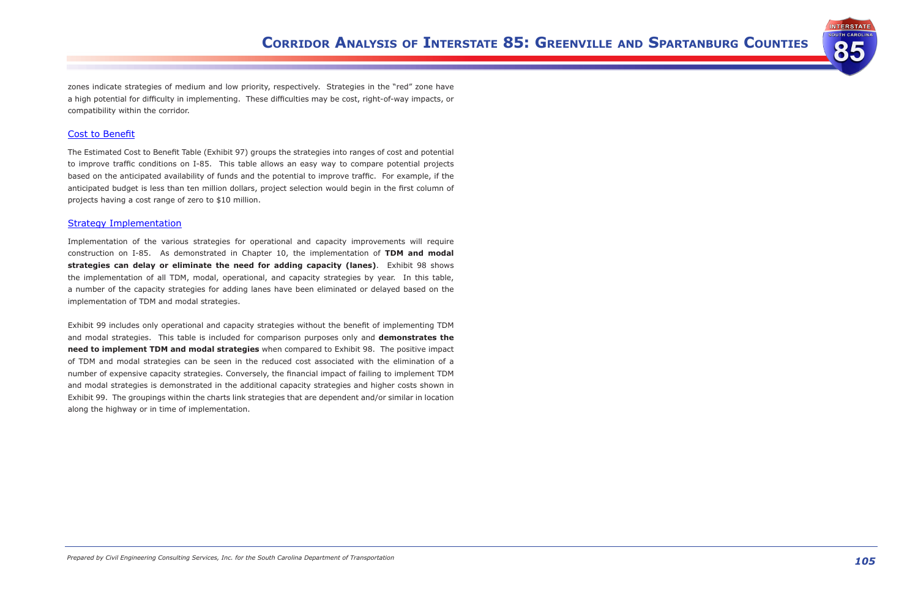

zones indicate strategies of medium and low priority, respectively. Strategies in the "red" zone have a high potential for difficulty in implementing. These difficulties may be cost, right-of-way impacts, or compatibility within the corridor.

## Cost to Benefit

The Estimated Cost to Benefit Table (Exhibit 97) groups the strategies into ranges of cost and potential to improve traffic conditions on I-85. This table allows an easy way to compare potential projects based on the anticipated availability of funds and the potential to improve traffic. For example, if the anticipated budget is less than ten million dollars, project selection would begin in the first column of projects having a cost range of zero to \$10 million.

## Strategy Implementation

Implementation of the various strategies for operational and capacity improvements will require construction on I-85. As demonstrated in Chapter 10, the implementation of **TDM and modal strategies can delay or eliminate the need for adding capacity (lanes)**. Exhibit 98 shows the implementation of all TDM, modal, operational, and capacity strategies by year. In this table, a number of the capacity strategies for adding lanes have been eliminated or delayed based on the implementation of TDM and modal strategies.

Exhibit 99 includes only operational and capacity strategies without the benefit of implementing TDM and modal strategies. This table is included for comparison purposes only and **demonstrates the need to implement TDM and modal strategies** when compared to Exhibit 98. The positive impact of TDM and modal strategies can be seen in the reduced cost associated with the elimination of a number of expensive capacity strategies. Conversely, the financial impact of failing to implement TDM and modal strategies is demonstrated in the additional capacity strategies and higher costs shown in Exhibit 99. The groupings within the charts link strategies that are dependent and/or similar in location along the highway or in time of implementation.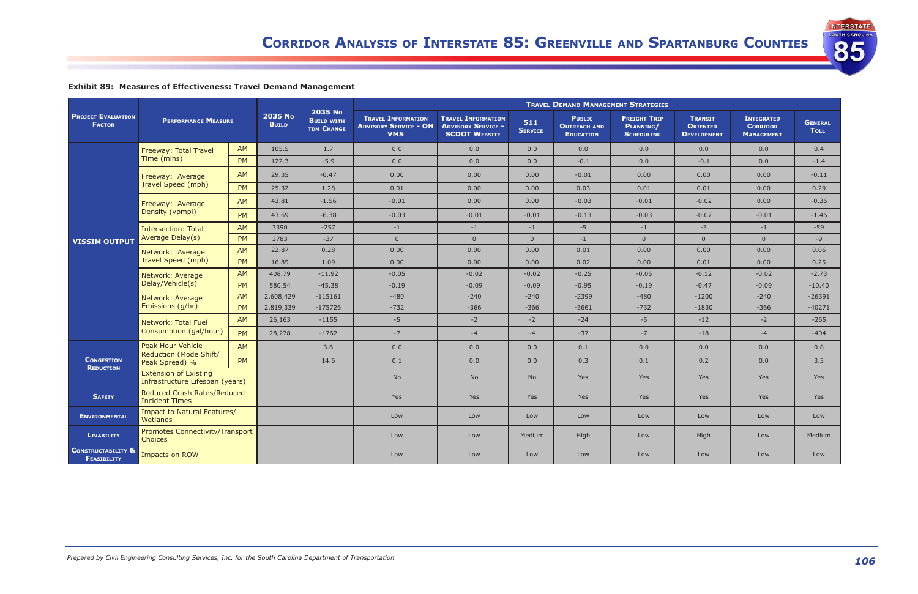**INTERSTATE SOUTH CAROLINA** 

85

## **Exhibit 89: Measures of Effectiveness: Travel Demand Management**

|                                                     | <b>PERFORMANCE MEASURE</b>                                      |           |                         |                                                   | <b>TRAVEL DEMAND MANAGEMENT STRATEGIES</b>                              |                                                                                |                       |                                                          |                                                       |                                                         |                                                           |                               |
|-----------------------------------------------------|-----------------------------------------------------------------|-----------|-------------------------|---------------------------------------------------|-------------------------------------------------------------------------|--------------------------------------------------------------------------------|-----------------------|----------------------------------------------------------|-------------------------------------------------------|---------------------------------------------------------|-----------------------------------------------------------|-------------------------------|
| <b>PROJECT EVALUATION</b><br><b>FACTOR</b>          |                                                                 |           | 2035 No<br><b>BUILD</b> | 2035 No<br><b>BUILD WITH</b><br><b>TDM CHANGE</b> | <b>TRAVEL INFORMATION</b><br><b>ADVISORY SERVICE - OH</b><br><b>VMS</b> | <b>TRAVEL INFORMATION</b><br><b>ADVISORY SERVICE -</b><br><b>SCDOT WEBSITE</b> | 511<br><b>SERVICE</b> | <b>PUBLIC</b><br><b>OUTREACH AND</b><br><b>EDUCATION</b> | <b>FREIGHT TRIP</b><br>PLANNING/<br><b>SCHEDULING</b> | <b>TRANSIT</b><br><b>ORIENTED</b><br><b>DEVELOPMENT</b> | <b>INTEGRATED</b><br><b>CORRIDOR</b><br><b>MANAGEMENT</b> | <b>GENERAL</b><br><b>TOLL</b> |
|                                                     | Freeway: Total Travel                                           | <b>AM</b> | 105.5                   | 1.7                                               | 0.0                                                                     | 0.0                                                                            | 0.0                   | 0.0                                                      | 0.0                                                   | 0.0                                                     | 0.0                                                       | 0.4                           |
|                                                     | Time (mins)                                                     | <b>PM</b> | 122.3                   | $-5.9$                                            | 0.0                                                                     | 0.0                                                                            | 0.0                   | $-0.1$                                                   | 0.0                                                   | $-0.1$                                                  | 0.0                                                       | $-1.4$                        |
|                                                     | Freeway: Average<br>Travel Speed (mph)                          | <b>AM</b> | 29.35                   | $-0.47$                                           | 0.00                                                                    | 0.00                                                                           | 0.00                  | $-0.01$                                                  | 0.00                                                  | 0.00                                                    | 0.00                                                      | $-0.11$                       |
|                                                     |                                                                 | <b>PM</b> | 25.32                   | 1.28                                              | 0.01                                                                    | 0.00                                                                           | 0.00                  | 0.03                                                     | 0.01                                                  | 0.01                                                    | 0.00                                                      | 0.29                          |
|                                                     | Freeway: Average                                                | AM        | 43.81                   | $-1.56$                                           | $-0.01$                                                                 | 0.00                                                                           | 0.00                  | $-0.03$                                                  | $-0.01$                                               | $-0.02$                                                 | 0.00                                                      | $-0.36$                       |
| <b>VISSIM OUTPUT</b>                                | Density (vpmpl)                                                 | <b>PM</b> | 43.69                   | $-6.38$                                           | $-0.03$                                                                 | $-0.01$                                                                        | $-0.01$               | $-0.13$                                                  | $-0.03$                                               | $-0.07$                                                 | $-0.01$                                                   | $-1.46$                       |
|                                                     | <b>Intersection: Total</b><br>Average Delay(s)                  | AM        | 3390                    | $-257$                                            | $-1$                                                                    | $-1$                                                                           | $-1$                  | $-5$                                                     | $-1$                                                  | $-3$                                                    | $-1$                                                      | $-59$                         |
|                                                     |                                                                 | <b>PM</b> | 3783                    | $-37$                                             | $\overline{0}$                                                          | $\overline{0}$                                                                 | $\overline{0}$        | $-1$                                                     | $\overline{0}$                                        | $\overline{0}$                                          | $\overline{0}$                                            | $-9$                          |
|                                                     | Network: Average<br>Travel Speed (mph)                          | AM        | 22.87                   | 0.28                                              | 0.00                                                                    | 0.00                                                                           | 0.00                  | 0.01                                                     | 0.00                                                  | 0.00                                                    | 0.00                                                      | 0.06                          |
|                                                     |                                                                 | <b>PM</b> | 16.85                   | 1.09                                              | 0.00                                                                    | 0.00                                                                           | 0.00                  | 0.02                                                     | 0.00                                                  | 0.01                                                    | 0.00                                                      | 0.25                          |
|                                                     | Network: Average<br>Delay/Vehicle(s)                            | AM        | 408.79                  | $-11.92$                                          | $-0.05$                                                                 | $-0.02$                                                                        | $-0.02$               | $-0.25$                                                  | $-0.05$                                               | $-0.12$                                                 | $-0.02$                                                   | $-2.73$                       |
|                                                     |                                                                 | <b>PM</b> | 580.54                  | $-45.38$                                          | $-0.19$                                                                 | $-0.09$                                                                        | $-0.09$               | $-0.95$                                                  | $-0.19$                                               | $-0.47$                                                 | $-0.09$                                                   | $-10.40$                      |
|                                                     | Network: Average<br>Emissions (g/hr)                            | AM        | 2,608,429               | $-115161$                                         | $-480$                                                                  | $-240$                                                                         | $-240$                | $-2399$                                                  | $-480$                                                | $-1200$                                                 | $-240$                                                    | $-26391$                      |
|                                                     |                                                                 | <b>PM</b> | 2,819,339               | $-175726$                                         | $-732$                                                                  | $-366$                                                                         | $-366$                | $-3661$                                                  | $-732$                                                | $-1830$                                                 | $-366$                                                    | $-40271$                      |
|                                                     | Network: Total Fuel                                             | AM        | 26,163                  | $-1155$                                           | $-5$                                                                    | $-2$                                                                           | $-2$                  | $-24$                                                    | $-5$                                                  | $-12$                                                   | $-2$                                                      | $-265$                        |
|                                                     | Consumption (gal/hour)                                          | <b>PM</b> | 28,278                  | $-1762$                                           | $-7$                                                                    | $-4$                                                                           | $-4$                  | $-37$                                                    | $-7$                                                  | $-18$                                                   | $-4$                                                      | $-404$                        |
|                                                     | <b>Peak Hour Vehicle</b><br>Reduction (Mode Shift/              | AM        |                         | 3.6                                               | 0.0                                                                     | 0.0                                                                            | 0.0                   | 0.1                                                      | 0.0                                                   | 0.0                                                     | 0.0                                                       | 0.8                           |
| <b>CONGESTION</b><br><b>REDUCTION</b>               | Peak Spread) %                                                  | <b>PM</b> |                         | 14.6                                              | 0.1                                                                     | 0.0                                                                            | 0.0                   | 0.3                                                      | 0.1                                                   | 0.2                                                     | 0.0                                                       | 3.3                           |
|                                                     | <b>Extension of Existing</b><br>Infrastructure Lifespan (years) |           |                         |                                                   | <b>No</b>                                                               | <b>No</b>                                                                      | No.                   | Yes                                                      | Yes                                                   | Yes                                                     | Yes                                                       | Yes                           |
| <b>SAFETY</b>                                       | Reduced Crash Rates/Reduced<br><b>Incident Times</b>            |           |                         |                                                   | Yes                                                                     | Yes                                                                            | <b>Yes</b>            | Yes                                                      | Yes                                                   | Yes                                                     | Yes                                                       | Yes                           |
| <b>ENVIRONMENTAL</b>                                | Impact to Natural Features/<br>Wetlands                         |           |                         |                                                   | Low                                                                     | Low                                                                            | Low                   | Low                                                      | Low                                                   | Low                                                     | Low                                                       | Low                           |
| <b>LIVABILITY</b>                                   | Promotes Connectivity/Transport<br><b>Choices</b>               |           |                         |                                                   | Low                                                                     | Low                                                                            | Medium                | High                                                     | Low                                                   | High                                                    | Low                                                       | Medium                        |
| <b>CONSTRUCTABILITY &amp;</b><br><b>FEASIBILITY</b> | Impacts on ROW                                                  |           |                         |                                                   | Low                                                                     | Low                                                                            | Low                   | Low                                                      | Low                                                   | Low                                                     | Low                                                       | Low                           |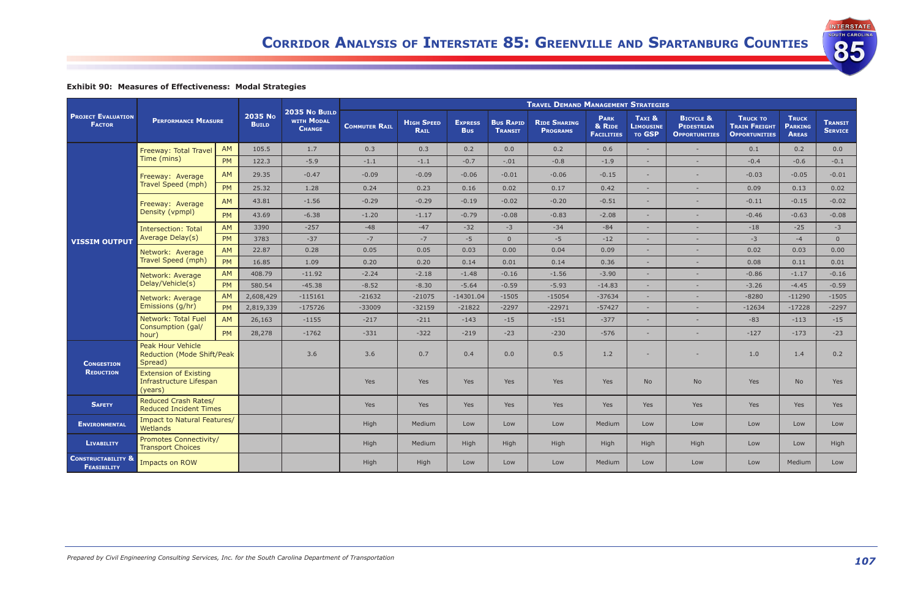INTERSTATE

85

# **Exhibit 90: Measures of Effectiveness: Modal Strategies**

|                                                     |                                                                    |                            |           |                                              | <b>TRAVEL DEMAND MANAGEMENT STRATEGIES</b> |                                  |                              |                                    |                                        |                                            |                                      |                                                                   |                                                                 |                                                |                                  |
|-----------------------------------------------------|--------------------------------------------------------------------|----------------------------|-----------|----------------------------------------------|--------------------------------------------|----------------------------------|------------------------------|------------------------------------|----------------------------------------|--------------------------------------------|--------------------------------------|-------------------------------------------------------------------|-----------------------------------------------------------------|------------------------------------------------|----------------------------------|
| <b>PROJECT EVALUATION</b><br><b>FACTOR</b>          |                                                                    | <b>PERFORMANCE MEASURE</b> |           | 2035 No BUILD<br>WITH MODAL<br><b>CHANGE</b> | <b>COMMUTER RAIL</b>                       | <b>HIGH SPEED</b><br><b>RAIL</b> | <b>EXPRESS</b><br><b>Bus</b> | <b>BUS RAPID</b><br><b>TRANSIT</b> | <b>RIDE SHARING</b><br><b>PROGRAMS</b> | <b>PARK</b><br>& RIDE<br><b>FACILITIES</b> | TAXI &<br><b>LIMOUSINE</b><br>TO GSP | <b>BICYCLE &amp;</b><br><b>PEDESTRIAN</b><br><b>OPPORTUNITIES</b> | <b>TRUCK TO</b><br><b>TRAIN FREIGHT</b><br><b>OPPORTUNITIES</b> | <b>TRUCK</b><br><b>PARKING</b><br><b>AREAS</b> | <b>TRANSIT</b><br><b>SERVICE</b> |
|                                                     | Freeway: Total Travel<br>Time (mins)                               | AM                         | 105.5     | 1.7                                          | 0.3                                        | 0.3                              | 0.2                          | 0.0                                | 0.2                                    | 0.6                                        | $\sim$                               |                                                                   | 0.1                                                             | 0.2                                            | 0.0                              |
|                                                     |                                                                    | <b>PM</b>                  | 122.3     | $-5.9$                                       | $-1.1$                                     | $-1.1$                           | $-0.7$                       | $-.01$                             | $-0.8$                                 | $-1.9$                                     |                                      | $\sim$                                                            | $-0.4$                                                          | $-0.6$                                         | $-0.1$                           |
|                                                     | Freeway: Average                                                   | AM.                        | 29.35     | $-0.47$                                      | $-0.09$                                    | $-0.09$                          | $-0.06$                      | $-0.01$                            | $-0.06$                                | $-0.15$                                    | $\sim$                               |                                                                   | $-0.03$                                                         | $-0.05$                                        | $-0.01$                          |
|                                                     | Travel Speed (mph)                                                 | PM                         | 25.32     | 1.28                                         | 0.24                                       | 0.23                             | 0.16                         | 0.02                               | 0.17                                   | 0.42                                       | $\sim$                               | $\sim$                                                            | 0.09                                                            | 0.13                                           | 0.02                             |
|                                                     | Freeway: Average                                                   | AM                         | 43.81     | $-1.56$                                      | $-0.29$                                    | $-0.29$                          | $-0.19$                      | $-0.02$                            | $-0.20$                                | $-0.51$                                    |                                      |                                                                   | $-0.11$                                                         | $-0.15$                                        | $-0.02$                          |
|                                                     | Density (vpmpl)                                                    | <b>PM</b>                  | 43.69     | $-6.38$                                      | $-1.20$                                    | $-1.17$                          | $-0.79$                      | $-0.08$                            | $-0.83$                                | $-2.08$                                    | $\sim$                               |                                                                   | $-0.46$                                                         | $-0.63$                                        | $-0.08$                          |
|                                                     | <b>Intersection: Total</b><br>Average Delay(s)                     | AM                         | 3390      | $-257$                                       | $-48$                                      | $-47$                            | $-32$                        | $-3$                               | $-34$                                  | $-84$                                      |                                      |                                                                   | $-18$                                                           | $-25$                                          | $-3$                             |
| <b>VISSIM OUTPUT</b>                                |                                                                    | <b>PM</b>                  | 3783      | $-37$                                        | $-7$                                       | $-7$                             | $-5$                         | $\overline{0}$                     | $-5$                                   | $-12$                                      | $\sim$                               |                                                                   | $-3$                                                            | $-4$                                           | $\overline{0}$                   |
|                                                     | Network: Average<br>Travel Speed (mph)                             | <b>AM</b>                  | 22.87     | 0.28                                         | 0.05                                       | 0.05                             | 0.03                         | 0.00                               | 0.04                                   | 0.09                                       | $\sim$                               |                                                                   | 0.02                                                            | 0.03                                           | 0.00                             |
|                                                     |                                                                    | <b>PM</b>                  | 16.85     | 1.09                                         | 0.20                                       | 0.20                             | 0.14                         | 0.01                               | 0.14                                   | 0.36                                       |                                      |                                                                   | 0.08                                                            | 0.11                                           | 0.01                             |
|                                                     | Network: Average<br>Delay/Vehicle(s)                               | AM.                        | 408.79    | $-11.92$                                     | $-2.24$                                    | $-2.18$                          | $-1.48$                      | $-0.16$                            | $-1.56$                                | $-3.90$                                    | $\sim$                               | $\sim$                                                            | $-0.86$                                                         | $-1.17$                                        | $-0.16$                          |
|                                                     |                                                                    | <b>PM</b>                  | 580.54    | $-45.38$                                     | $-8.52$                                    | $-8.30$                          | $-5.64$                      | $-0.59$                            | $-5.93$                                | $-14.83$                                   | $\sim$                               |                                                                   | $-3.26$                                                         | $-4.45$                                        | $-0.59$                          |
|                                                     | Network: Average<br>Emissions (g/hr)<br>Network: Total Fuel        | <b>AM</b>                  | 2,608,429 | $-115161$                                    | $-21632$                                   | $-21075$                         | $-14301.04$                  | $-1505$                            | $-15054$                               | $-37634$                                   |                                      |                                                                   | $-8280$                                                         | $-11290$                                       | $-1505$                          |
|                                                     |                                                                    | <b>PM</b>                  | 2,819,339 | $-175726$                                    | $-33009$                                   | $-32159$                         | $-21822$                     | $-2297$                            | $-22971$                               | $-57427$                                   |                                      |                                                                   | $-12634$                                                        | $-17228$                                       | $-2297$                          |
|                                                     |                                                                    | AM                         | 26,163    | $-1155$                                      | $-217$                                     | $-211$                           | $-143$                       | $-15$                              | $-151$                                 | $-377$                                     | $\sim$                               |                                                                   | $-83$                                                           | $-113$                                         | $-15$                            |
|                                                     | Consumption (gal/<br>hour)                                         | <b>PM</b>                  | 28,278    | $-1762$                                      | $-331$                                     | $-322$                           | $-219$                       | $-23$                              | $-230$                                 | $-576$                                     |                                      |                                                                   | $-127$                                                          | $-173$                                         | $-23$                            |
| <b>CONGESTION</b>                                   | Peak Hour Vehicle<br>Reduction (Mode Shift/Peak<br>Spread)         |                            |           | 3.6                                          | 3.6                                        | 0.7                              | 0.4                          | 0.0                                | 0.5                                    | 1.2                                        | $\sim$                               |                                                                   | 1.0                                                             | 1.4                                            | 0.2                              |
| <b>REDUCTION</b>                                    | <b>Extension of Existing</b><br>Infrastructure Lifespan<br>(years) |                            |           |                                              | Yes                                        | <b>Yes</b>                       | Yes                          | Yes                                | <b>Yes</b>                             | <b>Yes</b>                                 | <b>No</b>                            | <b>No</b>                                                         | Yes                                                             | <b>No</b>                                      | Yes                              |
| <b>SAFETY</b>                                       | Reduced Crash Rates/<br><b>Reduced Incident Times</b>              |                            |           |                                              | <b>Yes</b>                                 | <b>Yes</b>                       | Yes                          | Yes                                | Yes                                    | <b>Yes</b>                                 | <b>Yes</b>                           | Yes                                                               | Yes                                                             | Yes                                            | Yes                              |
| <b>ENVIRONMENTAL</b>                                | Impact to Natural Features/<br>Wetlands                            |                            |           |                                              | High                                       | Medium                           | Low                          | Low                                | Low                                    | Medium                                     | Low                                  | Low                                                               | Low                                                             | Low                                            | Low                              |
| <b>LIVABILITY</b>                                   | Promotes Connectivity/<br><b>Transport Choices</b>                 |                            |           |                                              | High                                       | Medium                           | High                         | High                               | High                                   | High                                       | High                                 | High                                                              | Low                                                             | Low                                            | High                             |
| <b>CONSTRUCTABILITY &amp;</b><br><b>FEASIBILITY</b> | Impacts on ROW                                                     |                            |           |                                              | High                                       | High                             | Low                          | Low                                | Low                                    | Medium                                     | Low                                  | Low                                                               | Low                                                             | Medium                                         | Low                              |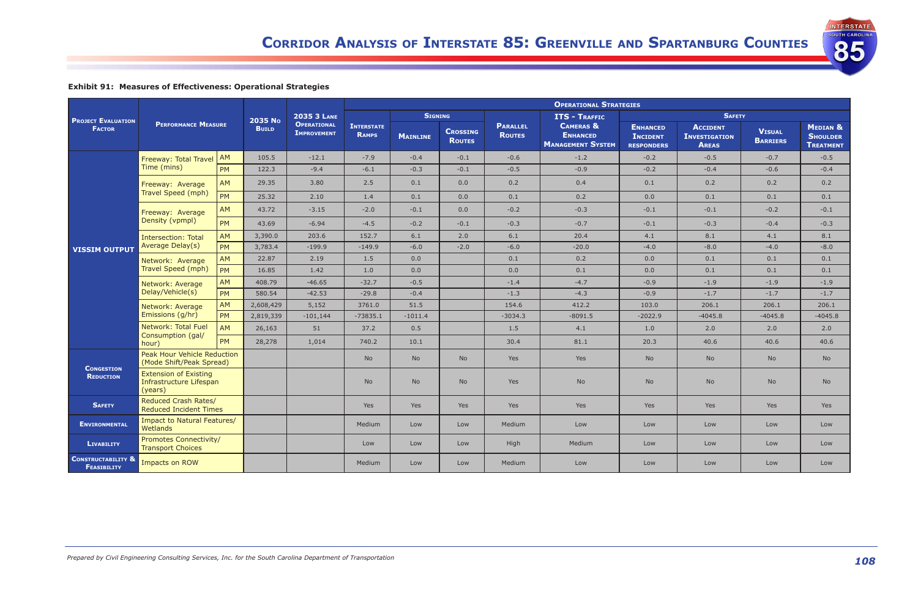**INTERSTATE OUTH CAROLINA** 

85

# **Exhibit 91: Measures of Effectiveness: Operational Strategies**

|                                                     |                                                                    |           |              |                                          |                                   |                 |                                  | <b>OPERATIONAL STRATEGIES</b>    |                                                                     |                                                         |                                                         |                                  |                                                            |
|-----------------------------------------------------|--------------------------------------------------------------------|-----------|--------------|------------------------------------------|-----------------------------------|-----------------|----------------------------------|----------------------------------|---------------------------------------------------------------------|---------------------------------------------------------|---------------------------------------------------------|----------------------------------|------------------------------------------------------------|
| <b>PROJECT EVALUATION</b>                           |                                                                    |           | 2035 No      | <b>2035 3 LANE</b>                       |                                   | <b>SIGNING</b>  |                                  |                                  | <b>ITS - TRAFFIC</b>                                                |                                                         | <b>SAFETY</b>                                           |                                  |                                                            |
| <b>FACTOR</b>                                       | <b>PERFORMANCE MEASURE</b>                                         |           | <b>BUILD</b> | <b>OPERATIONAL</b><br><b>IMPROVEMENT</b> | <b>INTERSTATE</b><br><b>RAMPS</b> | <b>MAINLINE</b> | <b>CROSSING</b><br><b>ROUTES</b> | <b>PARALLEL</b><br><b>ROUTES</b> | <b>CAMERAS &amp;</b><br><b>ENHANCED</b><br><b>MANAGEMENT SYSTEM</b> | <b>ENHANCED</b><br><b>INCIDENT</b><br><b>RESPONDERS</b> | <b>ACCIDENT</b><br><b>INVESTIGATION</b><br><b>AREAS</b> | <b>VISUAL</b><br><b>BARRIERS</b> | <b>MEDIAN &amp;</b><br><b>SHOULDER</b><br><b>TREATMENT</b> |
|                                                     | Freeway: Total Travel                                              | AM        | 105.5        | $-12.1$                                  | $-7.9$                            | $-0.4$          | $-0.1$                           | $-0.6$                           | $-1.2$                                                              | $-0.2$                                                  | $-0.5$                                                  | $-0.7$                           | $-0.5$                                                     |
|                                                     | Time (mins)                                                        | PM        | 122.3        | $-9.4$                                   | $-6.1$                            | $-0.3$          | $-0.1$                           | $-0.5$                           | $-0.9$                                                              | $-0.2$                                                  | $-0.4$                                                  | $-0.6$                           | $-0.4$                                                     |
|                                                     | Freeway: Average                                                   | AM        | 29.35        | 3.80                                     | 2.5                               | 0.1             | 0.0                              | 0.2                              | 0.4                                                                 | 0.1                                                     | 0.2                                                     | 0.2                              | 0.2                                                        |
|                                                     | Travel Speed (mph)                                                 | <b>PM</b> | 25.32        | 2.10                                     | 1.4                               | 0.1             | 0.0                              | 0.1                              | 0.2                                                                 | 0.0                                                     | 0.1                                                     | 0.1                              | 0.1                                                        |
|                                                     | Freeway: Average                                                   | <b>AM</b> | 43.72        | $-3.15$                                  | $-2.0$                            | $-0.1$          | 0.0                              | $-0.2$                           | $-0.3$                                                              | $-0.1$                                                  | $-0.1$                                                  | $-0.2$                           | $-0.1$                                                     |
|                                                     | Density (vpmpl)                                                    | <b>PM</b> | 43.69        | $-6.94$                                  | $-4.5$                            | $-0.2$          | $-0.1$                           | $-0.3$                           | $-0.7$                                                              | $-0.1$                                                  | $-0.3$                                                  | $-0.4$                           | $-0.3$                                                     |
|                                                     | <b>Intersection: Total</b><br>Average Delay(s)                     | <b>AM</b> | 3,390.0      | 203.6                                    | 152.7                             | 6.1             | 2.0                              | 6.1                              | 20.4                                                                | 4.1                                                     | 8.1                                                     | 4.1                              | 8.1                                                        |
| <b>VISSIM OUTPUT</b>                                |                                                                    | <b>PM</b> | 3,783.4      | $-199.9$                                 | $-149.9$                          | $-6.0$          | $-2.0$                           | $-6.0$                           | $-20.0$                                                             | $-4.0$                                                  | $-8.0$                                                  | $-4.0$                           | $-8.0$                                                     |
|                                                     | Network: Average<br>Travel Speed (mph)                             | AM        | 22.87        | 2.19                                     | 1.5                               | 0.0             |                                  | 0.1                              | 0.2                                                                 | 0.0                                                     | 0.1                                                     | 0.1                              | 0.1                                                        |
|                                                     |                                                                    | <b>PM</b> | 16.85        | 1.42                                     | 1.0                               | 0.0             |                                  | 0.0                              | 0.1                                                                 | 0.0                                                     | 0.1                                                     | 0.1                              | 0.1                                                        |
|                                                     | Network: Average                                                   | AM        | 408.79       | $-46.65$                                 | $-32.7$                           | $-0.5$          |                                  | $-1.4$                           | $-4.7$                                                              | $-0.9$                                                  | $-1.9$                                                  | $-1.9$                           | $-1.9$                                                     |
|                                                     | Delay/Vehicle(s)                                                   | <b>PM</b> | 580.54       | $-42.53$                                 | $-29.8$                           | $-0.4$          |                                  | $-1.3$                           | $-4.3$                                                              | $-0.9$                                                  | $-1.7$                                                  | $-1.7$                           | $-1.7$                                                     |
|                                                     | Network: Average                                                   | <b>AM</b> | 2,608,429    | 5,152                                    | 3761.0                            | 51.5            |                                  | 154.6                            | 412.2                                                               | 103.0                                                   | 206.1                                                   | 206.1                            | 206.1                                                      |
|                                                     | Emissions (g/hr)                                                   | <b>PM</b> | 2,819,339    | $-101,144$                               | $-73835.1$                        | $-1011.4$       |                                  | $-3034.3$                        | $-8091.5$                                                           | $-2022.9$                                               | $-4045.8$                                               | $-4045.8$                        | $-4045.8$                                                  |
|                                                     | Network: Total Fuel<br>Consumption (gal/                           | AM        | 26,163       | 51                                       | 37.2                              | 0.5             |                                  | 1.5                              | 4.1                                                                 | 1.0                                                     | 2.0                                                     | 2.0                              | 2.0                                                        |
|                                                     | hour)                                                              | <b>PM</b> | 28,278       | 1,014                                    | 740.2                             | 10.1            |                                  | 30.4                             | 81.1                                                                | 20.3                                                    | 40.6                                                    | 40.6                             | 40.6                                                       |
|                                                     | <b>Peak Hour Vehicle Reduction</b><br>(Mode Shift/Peak Spread)     |           |              |                                          | <b>No</b>                         | <b>No</b>       | <b>No</b>                        | Yes                              | <b>Yes</b>                                                          | <b>No</b>                                               | <b>No</b>                                               | No                               | No                                                         |
| <b>CONGESTION</b><br><b>REDUCTION</b>               | <b>Extension of Existing</b><br>Infrastructure Lifespan<br>(years) |           |              |                                          | <b>No</b>                         | <b>No</b>       | <b>No</b>                        | Yes                              | <b>No</b>                                                           | <b>No</b>                                               | No                                                      | No                               | N <sub>o</sub>                                             |
| <b>SAFETY</b>                                       | Reduced Crash Rates/<br><b>Reduced Incident Times</b>              |           |              |                                          | <b>Yes</b>                        | <b>Yes</b>      | <b>Yes</b>                       | Yes                              | Yes                                                                 | Yes                                                     | Yes                                                     | Yes                              | Yes                                                        |
| <b>ENVIRONMENTAL</b>                                | Impact to Natural Features/<br>Wetlands                            |           |              |                                          | Medium                            | Low             | Low                              | Medium                           | Low                                                                 | Low                                                     | Low                                                     | Low                              | Low                                                        |
| <b>LIVABILITY</b>                                   | <b>Promotes Connectivity/</b><br><b>Transport Choices</b>          |           |              |                                          | Low                               | Low             | Low                              | High                             | Medium                                                              | Low                                                     | Low                                                     | Low                              | Low                                                        |
| <b>CONSTRUCTABILITY &amp;</b><br><b>FEASIBILITY</b> | Impacts on ROW                                                     |           |              |                                          | Medium                            | Low             | Low                              | <b>Medium</b>                    | Low                                                                 | Low                                                     | Low                                                     | Low                              | Low                                                        |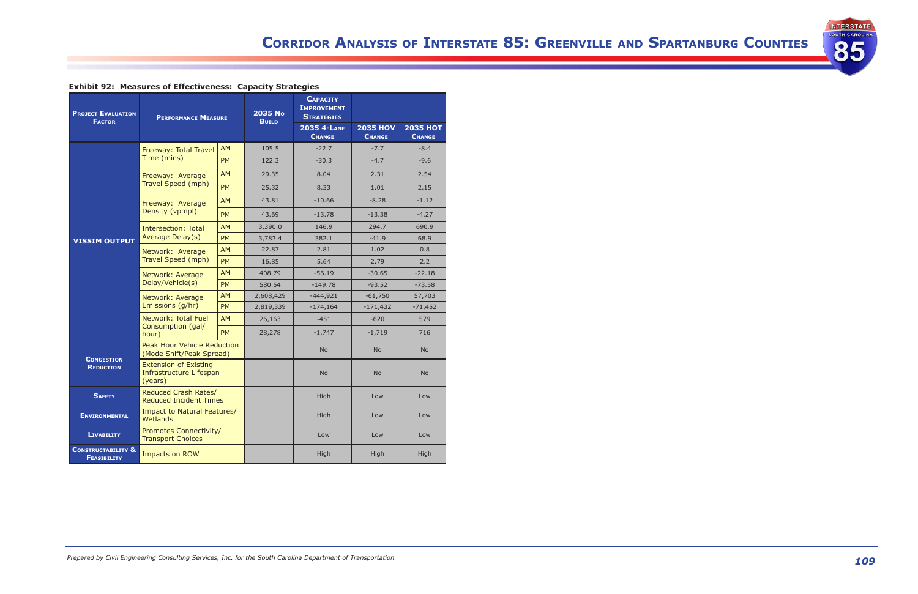

# **Exhibit 92: Measures of Effectiveness: Capacity Strategies**

| <b>PROJECT EVALUATION</b><br><b>FACTOR</b>          | <b>PERFORMANCE MEASURE</b>                                         |           | 2035 No<br><b>BUILD</b> | <b>CAPACITY</b><br><b>IMPROVEMENT</b><br><b>STRATEGIES</b><br>2035 4-LANE<br><b>CHANGE</b> | <b>2035 HOV</b><br><b>CHANGE</b> | <b>2035 HOT</b><br><b>CHANGE</b> |
|-----------------------------------------------------|--------------------------------------------------------------------|-----------|-------------------------|--------------------------------------------------------------------------------------------|----------------------------------|----------------------------------|
|                                                     | Freeway: Total Travel                                              | <b>AM</b> | 105.5                   | $-22.7$                                                                                    | $-7.7$                           | $-8.4$                           |
|                                                     | Time (mins)                                                        | <b>PM</b> | 122.3                   | $-30.3$                                                                                    | $-4.7$                           | $-9.6$                           |
|                                                     | Freeway: Average                                                   | <b>AM</b> | 29.35                   | 8.04                                                                                       | 2.31                             | 2.54                             |
|                                                     | Travel Speed (mph)                                                 | <b>PM</b> | 25.32                   | 8.33                                                                                       | 1.01                             | 2.15                             |
|                                                     | Freeway: Average                                                   | <b>AM</b> | 43.81                   | $-10.66$                                                                                   | $-8.28$                          | $-1.12$                          |
|                                                     | Density (vpmpl)                                                    | <b>PM</b> | 43.69                   | $-13.78$                                                                                   | $-13.38$                         | $-4.27$                          |
|                                                     | Intersection: Total                                                | <b>AM</b> | 3,390.0                 | 146.9                                                                                      | 294.7                            | 690.9                            |
| <b>VISSIM OUTPUT</b>                                | Average Delay(s)                                                   | <b>PM</b> | 3,783.4                 | 382.1                                                                                      | $-41.9$                          | 68.9                             |
|                                                     | Network: Average<br>Travel Speed (mph)                             | <b>AM</b> | 22.87                   | 2.81                                                                                       | 1.02                             | 0.8                              |
|                                                     |                                                                    | <b>PM</b> | 16.85                   | 5.64                                                                                       | 2.79                             | 2.2                              |
|                                                     | Network: Average                                                   | <b>AM</b> | 408.79                  | $-56.19$                                                                                   | $-30.65$                         | $-22.18$                         |
|                                                     | Delay/Vehicle(s)                                                   | <b>PM</b> | 580.54                  | $-149.78$                                                                                  | $-93.52$                         | $-73.58$                         |
|                                                     | Network: Average                                                   | <b>AM</b> | 2,608,429               | $-444,921$                                                                                 | $-61,750$                        | 57,703                           |
|                                                     | Emissions (q/hr)                                                   | <b>PM</b> | 2,819,339               | $-174,164$                                                                                 | $-171,432$                       | $-71,452$                        |
|                                                     | Network: Total Fuel<br>Consumption (gal/                           | <b>AM</b> | 26,163                  | $-451$                                                                                     | $-620$                           | 579                              |
|                                                     | hour)                                                              | <b>PM</b> | 28,278                  | $-1,747$                                                                                   | $-1,719$                         | 716                              |
|                                                     | Peak Hour Vehicle Reduction<br>(Mode Shift/Peak Spread)            |           |                         | <b>No</b>                                                                                  | <b>No</b>                        | <b>No</b>                        |
| <b>CONGESTION</b><br><b>REDUCTION</b>               | <b>Extension of Existing</b><br>Infrastructure Lifespan<br>(years) |           |                         | <b>No</b>                                                                                  | <b>No</b>                        | <b>No</b>                        |
| <b>SAFETY</b>                                       | Reduced Crash Rates/<br><b>Reduced Incident Times</b>              |           |                         | High                                                                                       | Low                              | Low                              |
| <b>ENVIRONMENTAL</b>                                | Impact to Natural Features/<br>Wetlands                            |           |                         | High                                                                                       | Low                              | Low                              |
| <b>LIVABILITY</b>                                   | <b>Promotes Connectivity/</b><br><b>Transport Choices</b>          |           |                         | Low                                                                                        | Low                              | Low                              |
| <b>CONSTRUCTABILITY &amp;</b><br><b>FEASIBILITY</b> | Impacts on ROW                                                     |           |                         | High                                                                                       | High                             | High                             |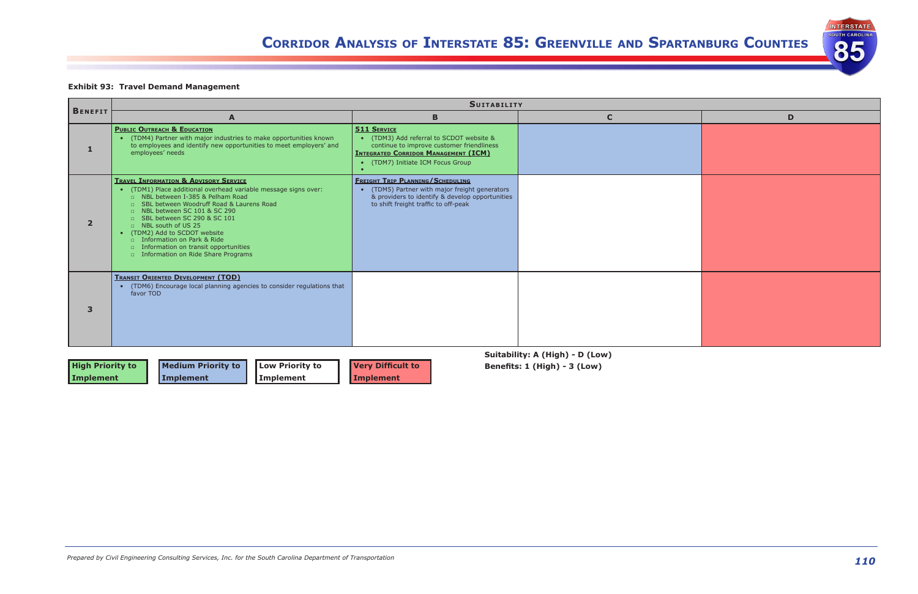



| D |
|---|
|   |
|   |
|   |
|   |
|   |
|   |
|   |
|   |
|   |
|   |
|   |
|   |
|   |
|   |
|   |
|   |
|   |
|   |
|   |

## **Exhibit 93: Travel Demand Management**

| <b>BENEFIT</b>                       |                                                                                                                                                                                                                                                                                                                                                                                                                                                             | <b>SUITABILITY</b>                                                                                                                                                                          |                                                                 |   |
|--------------------------------------|-------------------------------------------------------------------------------------------------------------------------------------------------------------------------------------------------------------------------------------------------------------------------------------------------------------------------------------------------------------------------------------------------------------------------------------------------------------|---------------------------------------------------------------------------------------------------------------------------------------------------------------------------------------------|-----------------------------------------------------------------|---|
|                                      | A                                                                                                                                                                                                                                                                                                                                                                                                                                                           | B                                                                                                                                                                                           | $\mathbf{C}$                                                    | D |
| 1                                    | <b>PUBLIC OUTREACH &amp; EDUCATION</b><br>(TDM4) Partner with major industries to make opportunities known<br>to employees and identify new opportunities to meet employers' and<br>employees' needs                                                                                                                                                                                                                                                        | <b>511 SERVICE</b><br>(TDM3) Add referral to SCDOT website &<br>continue to improve customer friendliness<br><b>INTEGRATED CORRIDOR MANAGEMENT (ICM)</b><br>(TDM7) Initiate ICM Focus Group |                                                                 |   |
| $\overline{2}$                       | <b>TRAVEL INFORMATION &amp; ADVISORY SERVICE</b><br>• (TDM1) Place additional overhead variable message signs over:<br>□ NBL between I-385 & Pelham Road<br>□ SBL between Woodruff Road & Laurens Road<br>D NBL between SC 101 & SC 290<br>□ SBL between SC 290 & SC 101<br>□ NBL south of US 25<br>• (TDM2) Add to SCDOT website<br>$\Box$ Information on Park & Ride<br>$\Box$ Information on transit opportunities<br>Information on Ride Share Programs | <b>FREIGHT TRIP PLANNING/SCHEDULING</b><br>(TDM5) Partner with major freight generators<br>& providers to identify & develop opportunities<br>to shift freight traffic to off-peak          |                                                                 |   |
| 3                                    | <b>TRANSIT ORIENTED DEVELOPMENT (TOD)</b><br>• (TDM6) Encourage local planning agencies to consider regulations that<br>favor TOD                                                                                                                                                                                                                                                                                                                           |                                                                                                                                                                                             |                                                                 |   |
| <b>High Priority to</b><br>Implement | <b>Medium Priority to</b><br><b>Low Priority to</b><br>Implement<br>Implement                                                                                                                                                                                                                                                                                                                                                                               | <b>Very Difficult to</b><br><b>Implement</b>                                                                                                                                                | Suitability: A (High) - D (Low)<br>Benefits: 1 (High) - 3 (Low) |   |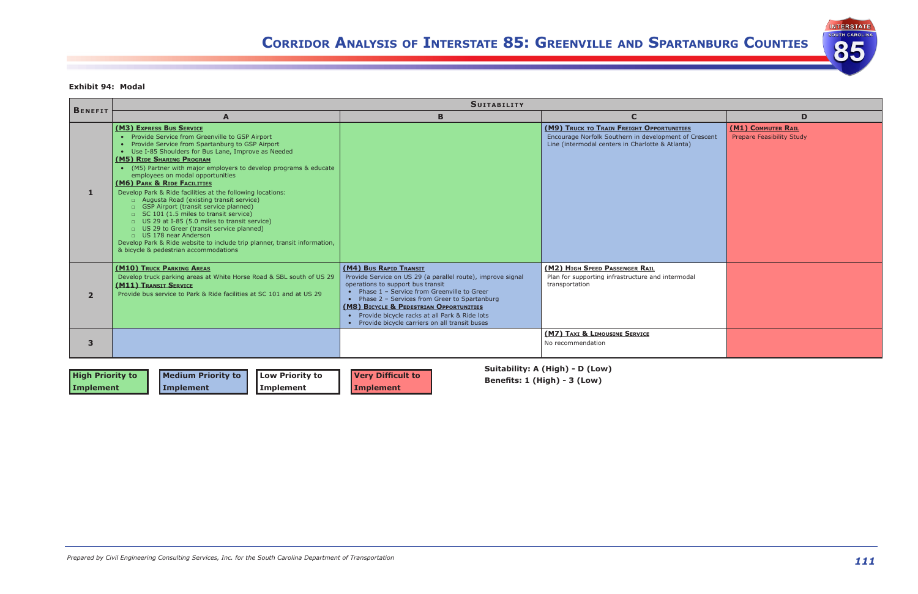

## **Exhibit 94: Modal**

|              | <b>SUITABILITY</b>                                                                                                                                                                                                                                                                                                                                                                                                                                                                                                                                                                                                                                                                                                                                                                                                                     |                                                                                                                                                                                                                                                                                                                                                                           |                                                                                                                                                        |                                                        |  |  |  |  |  |
|--------------|----------------------------------------------------------------------------------------------------------------------------------------------------------------------------------------------------------------------------------------------------------------------------------------------------------------------------------------------------------------------------------------------------------------------------------------------------------------------------------------------------------------------------------------------------------------------------------------------------------------------------------------------------------------------------------------------------------------------------------------------------------------------------------------------------------------------------------------|---------------------------------------------------------------------------------------------------------------------------------------------------------------------------------------------------------------------------------------------------------------------------------------------------------------------------------------------------------------------------|--------------------------------------------------------------------------------------------------------------------------------------------------------|--------------------------------------------------------|--|--|--|--|--|
| BENEFIT      | A                                                                                                                                                                                                                                                                                                                                                                                                                                                                                                                                                                                                                                                                                                                                                                                                                                      | B                                                                                                                                                                                                                                                                                                                                                                         | $\mathbf C$                                                                                                                                            |                                                        |  |  |  |  |  |
|              | (M3) EXPRESS BUS SERVICE<br>• Provide Service from Greenville to GSP Airport<br>Provide Service from Spartanburg to GSP Airport<br>$\bullet$<br>Use I-85 Shoulders for Bus Lane, Improve as Needed<br>$\bullet$<br>(M5) RIDE SHARING PROGRAM<br>(M5) Partner with major employers to develop programs & educate<br>employees on modal opportunities<br>(M6) PARK & RIDE FACILITIES<br>Develop Park & Ride facilities at the following locations:<br>n Augusta Road (existing transit service)<br>GSP Airport (transit service planned)<br>□ SC 101 (1.5 miles to transit service)<br>□ US 29 at I-85 (5.0 miles to transit service)<br>□ US 29 to Greer (transit service planned)<br>$\Box$ US 178 near Anderson<br>Develop Park & Ride website to include trip planner, transit information,<br>& bicycle & pedestrian accommodations |                                                                                                                                                                                                                                                                                                                                                                           | (M9) TRUCK TO TRAIN FREIGHT OPPORTUNITIES<br>Encourage Norfolk Southern in development of Crescent<br>Line (intermodal centers in Charlotte & Atlanta) | (M1) COMMUTER RAIL<br><b>Prepare Feasibility Study</b> |  |  |  |  |  |
| $\mathbf{2}$ | (M10) TRUCK PARKING AREAS<br>Develop truck parking areas at White Horse Road & SBL south of US 29<br>(M11) TRANSIT SERVICE<br>Provide bus service to Park & Ride facilities at SC 101 and at US 29                                                                                                                                                                                                                                                                                                                                                                                                                                                                                                                                                                                                                                     | (M4) Bus RAPID TRANSIT<br>Provide Service on US 29 (a parallel route), improve signal<br>operations to support bus transit<br>Phase 1 - Service from Greenville to Greer<br>Phase 2 - Services from Greer to Spartanburg<br>(M8) BICYCLE & PEDESTRIAN OPPORTUNITIES<br>• Provide bicycle racks at all Park & Ride lots<br>• Provide bicycle carriers on all transit buses | (M2) HIGH SPEED PASSENGER RAIL<br>Plan for supporting infrastructure and intermodal<br>transportation                                                  |                                                        |  |  |  |  |  |
|              |                                                                                                                                                                                                                                                                                                                                                                                                                                                                                                                                                                                                                                                                                                                                                                                                                                        |                                                                                                                                                                                                                                                                                                                                                                           | (M7) TAXI & LIMOUSINE SERVICE<br>No recommendation                                                                                                     |                                                        |  |  |  |  |  |

|                                 | D                                                      |
|---------------------------------|--------------------------------------------------------|
| <b>IITIES</b><br>nt of Crescent | (M1) COMMUTER RAIL<br><b>Prepare Feasibility Study</b> |
| anta)                           |                                                        |
|                                 |                                                        |
|                                 |                                                        |
|                                 |                                                        |
|                                 |                                                        |
|                                 |                                                        |
|                                 |                                                        |
|                                 |                                                        |
|                                 |                                                        |
|                                 |                                                        |
| rmodal                          |                                                        |
|                                 |                                                        |
|                                 |                                                        |
|                                 |                                                        |
|                                 |                                                        |
|                                 |                                                        |
|                                 |                                                        |

|                         |                                      |           |                          | Suitability: A (High) - D (Low) |
|-------------------------|--------------------------------------|-----------|--------------------------|---------------------------------|
| <b>High Priority to</b> | Medium Priority to   Low Priority to |           | <b>Very Difficult to</b> | Benefits: 1 (High) - 3 (Low)    |
| Implement               | Implement                            | Implement | Implement                |                                 |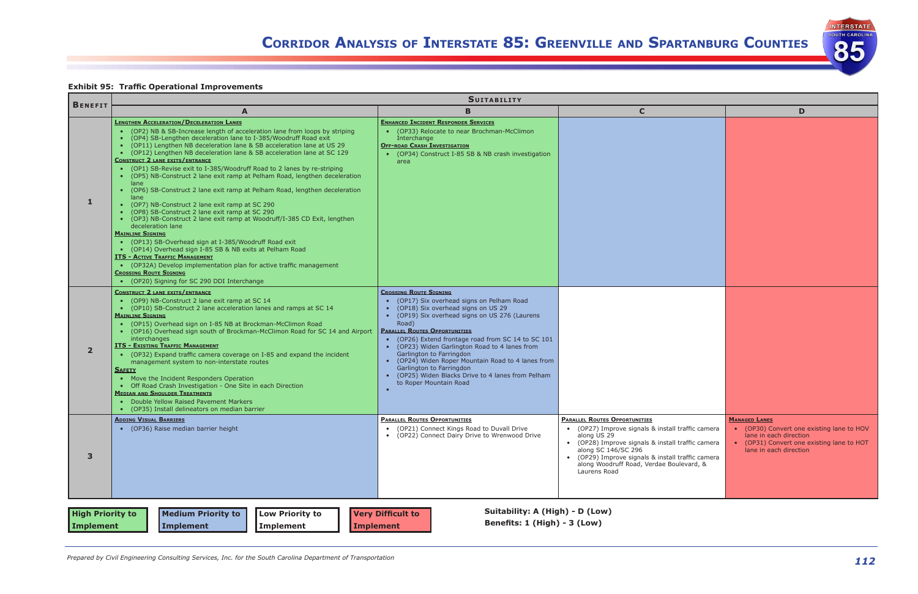

**INTERSTATE SOUTH CAROLINA** 

85

## **Exhibit 95: Traffic Operational Improvements**

|                                      | <b>SUITABILITY</b>                                                                                                                                                                                                                                                                                                                                                                                                                                                                                                                                                                                                                                                                                                                                                                                                                                                                                                                                                                                                                                                                                                                                                                             |                                                                                                                                                                                                                                                                                                                                                                                                                                                                                                                             |                                                                                                                                                                                                                                                                                                       |                                                                                                                         |  |  |  |  |  |  |
|--------------------------------------|------------------------------------------------------------------------------------------------------------------------------------------------------------------------------------------------------------------------------------------------------------------------------------------------------------------------------------------------------------------------------------------------------------------------------------------------------------------------------------------------------------------------------------------------------------------------------------------------------------------------------------------------------------------------------------------------------------------------------------------------------------------------------------------------------------------------------------------------------------------------------------------------------------------------------------------------------------------------------------------------------------------------------------------------------------------------------------------------------------------------------------------------------------------------------------------------|-----------------------------------------------------------------------------------------------------------------------------------------------------------------------------------------------------------------------------------------------------------------------------------------------------------------------------------------------------------------------------------------------------------------------------------------------------------------------------------------------------------------------------|-------------------------------------------------------------------------------------------------------------------------------------------------------------------------------------------------------------------------------------------------------------------------------------------------------|-------------------------------------------------------------------------------------------------------------------------|--|--|--|--|--|--|
| <b>BENEFIT</b>                       | A                                                                                                                                                                                                                                                                                                                                                                                                                                                                                                                                                                                                                                                                                                                                                                                                                                                                                                                                                                                                                                                                                                                                                                                              | B                                                                                                                                                                                                                                                                                                                                                                                                                                                                                                                           | C                                                                                                                                                                                                                                                                                                     | D                                                                                                                       |  |  |  |  |  |  |
| 1                                    | <b>LENGTHEN ACCELERATION/DECELERATION LANES</b><br>• (OP2) NB & SB-Increase length of acceleration lane from loops by striping<br>(OP4) SB-Lengthen deceleration lane to I-385/Woodruff Road exit<br>(OP11) Lengthen NB deceleration lane & SB acceleration lane at US 29<br>(OP12) Lengthen NB deceleration lane & SB acceleration lane at SC 129<br><b>CONSTRUCT 2 LANE EXITS/ENTRANCE</b><br>(OP1) SB-Revise exit to I-385/Woodruff Road to 2 lanes by re-striping<br>(OP5) NB-Construct 2 lane exit ramp at Pelham Road, lengthen deceleration<br>lane<br>(OP6) SB-Construct 2 lane exit ramp at Pelham Road, lengthen deceleration<br>lane<br>(OP7) NB-Construct 2 lane exit ramp at SC 290<br>(OP8) SB-Construct 2 lane exit ramp at SC 290<br>• (OP3) NB-Construct 2 lane exit ramp at Woodruff/I-385 CD Exit, lengthen<br>deceleration lane<br><b>MAINLINE SIGNING</b><br>(OP13) SB-Overhead sign at I-385/Woodruff Road exit<br>(OP14) Overhead sign I-85 SB & NB exits at Pelham Road<br><b>ITS - ACTIVE TRAFFIC MANAGEMENT</b><br>• (OP32A) Develop implementation plan for active traffic management<br><b>CROSSING ROUTE SIGNING</b><br>(OP20) Signing for SC 290 DDI Interchange | <b>ENHANCED INCIDENT RESPONDER SERVICES</b><br>(OP33) Relocate to near Brochman-McClimon<br>Interchange<br><b>OFF-ROAD CRASH INVESTIGATION</b><br>• (OP34) Construct I-85 SB & NB crash investigation<br>area                                                                                                                                                                                                                                                                                                               |                                                                                                                                                                                                                                                                                                       |                                                                                                                         |  |  |  |  |  |  |
| 2 <sup>2</sup>                       | <b>CONSTRUCT 2 LANE EXITS/ENTRANCE</b><br>(OP9) NB-Construct 2 lane exit ramp at SC 14<br>• (OP10) SB-Construct 2 lane acceleration lanes and ramps at SC 14<br><b>MAINLINE SIGNING</b><br>(OP15) Overhead sign on I-85 NB at Brockman-McClimon Road<br>(OP16) Overhead sign south of Brockman-McClimon Road for SC 14 and Airport<br>interchanges<br><b>ITS - EXISTING TRAFFIC MANAGEMENT</b><br>(OP32) Expand traffic camera coverage on I-85 and expand the incident<br>management system to non-interstate routes<br><b>SAFETY</b><br>• Move the Incident Responders Operation<br>• Off Road Crash Investigation - One Site in each Direction<br><b>MEDIAN AND SHOULDER TREATMENTS</b><br>• Double Yellow Raised Pavement Markers<br>(OP35) Install delineators on median barrier                                                                                                                                                                                                                                                                                                                                                                                                          | <b>CROSSING ROUTE SIGNING</b><br>(OP17) Six overhead signs on Pelham Road<br>(OP18) Six overhead signs on US 29<br>(OP19) Six overhead signs on US 276 (Laurens<br>$\bullet$<br>Road)<br><b>PARALLEL ROUTES OPPORTUNITIES</b><br>(OP26) Extend frontage road from SC 14 to SC 101<br>(OP23) Widen Garlington Road to 4 lanes from<br>Garlington to Farringdon<br>(OP24) Widen Roper Mountain Road to 4 lanes from<br>Garlington to Farringdon<br>(OP25) Widen Blacks Drive to 4 lanes from Pelham<br>to Roper Mountain Road |                                                                                                                                                                                                                                                                                                       |                                                                                                                         |  |  |  |  |  |  |
| 3                                    | <b>ADDING VISUAL BARRIERS</b><br>• (OP36) Raise median barrier height                                                                                                                                                                                                                                                                                                                                                                                                                                                                                                                                                                                                                                                                                                                                                                                                                                                                                                                                                                                                                                                                                                                          | <b>PARALLEL ROUTES OPPORTUNITIES</b><br>• (OP21) Connect Kings Road to Duvall Drive<br>• (OP22) Connect Dairy Drive to Wrenwood Drive                                                                                                                                                                                                                                                                                                                                                                                       | <b>PARALLEL ROUTES OPPORTUNITIES</b><br>• (OP27) Improve signals & install traffic camera<br>along US 29<br>• (OP28) Improve signals & install traffic camera<br>along SC 146/SC 296<br>• (OP29) Improve signals & install traffic camera<br>along Woodruff Road, Verdae Boulevard, &<br>Laurens Road | <b>MANAGED LANES</b><br>• (OP30) Convert one<br>lane in each direction<br>• (OP31) Convert one<br>lane in each directio |  |  |  |  |  |  |
| <b>High Priority to</b><br>Implement | <b>Medium Priority to</b><br><b>Low Priority to</b><br>Implement<br><b>Implement</b>                                                                                                                                                                                                                                                                                                                                                                                                                                                                                                                                                                                                                                                                                                                                                                                                                                                                                                                                                                                                                                                                                                           | Suitability: A (High) - D (Low)<br><b>Very Difficult to</b><br>Benefits: 1 (High) - 3 (Low)<br>Implement                                                                                                                                                                                                                                                                                                                                                                                                                    |                                                                                                                                                                                                                                                                                                       |                                                                                                                         |  |  |  |  |  |  |

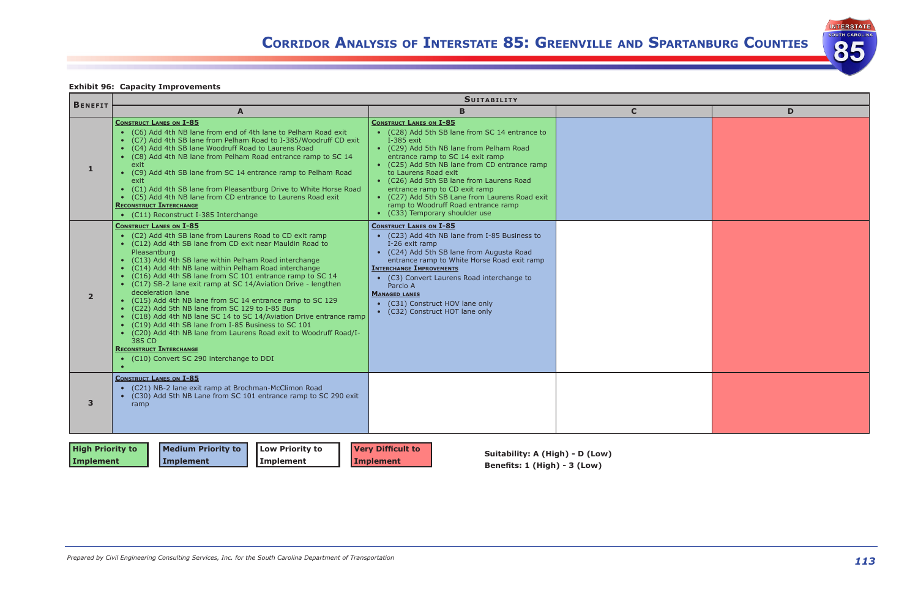



| D |
|---|
|   |
|   |
|   |
|   |
|   |
|   |
|   |
|   |
|   |
|   |
|   |
|   |
|   |
|   |
|   |
|   |
|   |
|   |
|   |
|   |
|   |
|   |
|   |
|   |
|   |
|   |
|   |

# **Exhibit 96: Capacity Improvements**

|                |                                                                                                                                                                                                                                                                                                                                                                                                                                                                                                                                                                                                                                                                                                                                                                                                                                                                              | <b>SUITABILITY</b>                                                                                                                                                                                                                                                                                                                                                                                                                                               |             |   |
|----------------|------------------------------------------------------------------------------------------------------------------------------------------------------------------------------------------------------------------------------------------------------------------------------------------------------------------------------------------------------------------------------------------------------------------------------------------------------------------------------------------------------------------------------------------------------------------------------------------------------------------------------------------------------------------------------------------------------------------------------------------------------------------------------------------------------------------------------------------------------------------------------|------------------------------------------------------------------------------------------------------------------------------------------------------------------------------------------------------------------------------------------------------------------------------------------------------------------------------------------------------------------------------------------------------------------------------------------------------------------|-------------|---|
| <b>BENEFIT</b> | A                                                                                                                                                                                                                                                                                                                                                                                                                                                                                                                                                                                                                                                                                                                                                                                                                                                                            | B                                                                                                                                                                                                                                                                                                                                                                                                                                                                | $\mathbf C$ | D |
| 1              | <b>CONSTRUCT LANES ON I-85</b><br>• (C6) Add 4th NB lane from end of 4th lane to Pelham Road exit<br>• (C7) Add 4th SB lane from Pelham Road to I-385/Woodruff CD exit<br>• (C4) Add 4th SB lane Woodruff Road to Laurens Road<br>• (C8) Add 4th NB lane from Pelham Road entrance ramp to SC 14<br>exit<br>• (C9) Add 4th SB lane from SC 14 entrance ramp to Pelham Road<br>exit<br>• (C1) Add 4th SB lane from Pleasantburg Drive to White Horse Road<br>• (C5) Add 4th NB lane from CD entrance to Laurens Road exit<br><b>RECONSTRUCT INTERCHANGE</b><br>• (C11) Reconstruct I-385 Interchange                                                                                                                                                                                                                                                                          | <b>CONSTRUCT LANES ON I-85</b><br>• (C28) Add 5th SB lane from SC 14 entrance to<br>I-385 exit<br>• (C29) Add 5th NB lane from Pelham Road<br>entrance ramp to SC 14 exit ramp<br>• (C25) Add 5th NB lane from CD entrance ramp<br>to Laurens Road exit<br>• (C26) Add 5th SB lane from Laurens Road<br>entrance ramp to CD exit ramp<br>• (C27) Add 5th SB Lane from Laurens Road exit<br>ramp to Woodruff Road entrance ramp<br>• (C33) Temporary shoulder use |             |   |
| $\overline{2}$ | <b>CONSTRUCT LANES ON I-85</b><br>• (C2) Add 4th SB lane from Laurens Road to CD exit ramp<br>• (C12) Add 4th SB lane from CD exit near Mauldin Road to<br>Pleasantburg<br>• (C13) Add 4th SB lane within Pelham Road interchange<br>• (C14) Add 4th NB lane within Pelham Road interchange<br>• (C16) Add 4th SB lane from SC 101 entrance ramp to SC 14<br>• (C17) SB-2 lane exit ramp at SC 14/Aviation Drive - lengthen<br>deceleration lane<br>• (C15) Add 4th NB lane from SC 14 entrance ramp to SC 129<br>• (C22) Add 5th NB lane from SC 129 to I-85 Bus<br>• (C18) Add 4th NB lane SC 14 to SC 14/Aviation Drive entrance ramp<br>• (C19) Add 4th SB lane from I-85 Business to SC 101<br>• (C20) Add 4th NB lane from Laurens Road exit to Woodruff Road/I-<br>385 CD<br><b>RECONSTRUCT INTERCHANGE</b><br>• (C10) Convert SC 290 interchange to DDI<br>$\bullet$ | <b>CONSTRUCT LANES ON I-85</b><br>• (C23) Add 4th NB lane from I-85 Business to<br>I-26 exit ramp<br>• (C24) Add 5th SB lane from Augusta Road<br>entrance ramp to White Horse Road exit ramp<br><b>INTERCHANGE IMPROVEMENTS</b><br>• (C3) Convert Laurens Road interchange to<br>Parclo A<br><b>MANAGED LANES</b><br>(C31) Construct HOV lane only<br>• (C32) Construct HOT lane only                                                                           |             |   |
| $\mathbf{3}$   | <b>CONSTRUCT LANES ON I-85</b><br>• (C21) NB-2 lane exit ramp at Brochman-McClimon Road<br>• (C30) Add 5th NB Lane from SC 101 entrance ramp to SC 290 exit<br>ramp                                                                                                                                                                                                                                                                                                                                                                                                                                                                                                                                                                                                                                                                                                          |                                                                                                                                                                                                                                                                                                                                                                                                                                                                  |             |   |

| <b>High Priority to</b> | Medium Priority to | Low Priority to    | <b>Very Difficult to</b> | Suitability: A (High) - D (Low) |
|-------------------------|--------------------|--------------------|--------------------------|---------------------------------|
| Implement               | Implement          | <b>I</b> Implement | Implement                |                                 |
|                         |                    |                    |                          | Benefits: 1 (High) - 3 (Low)    |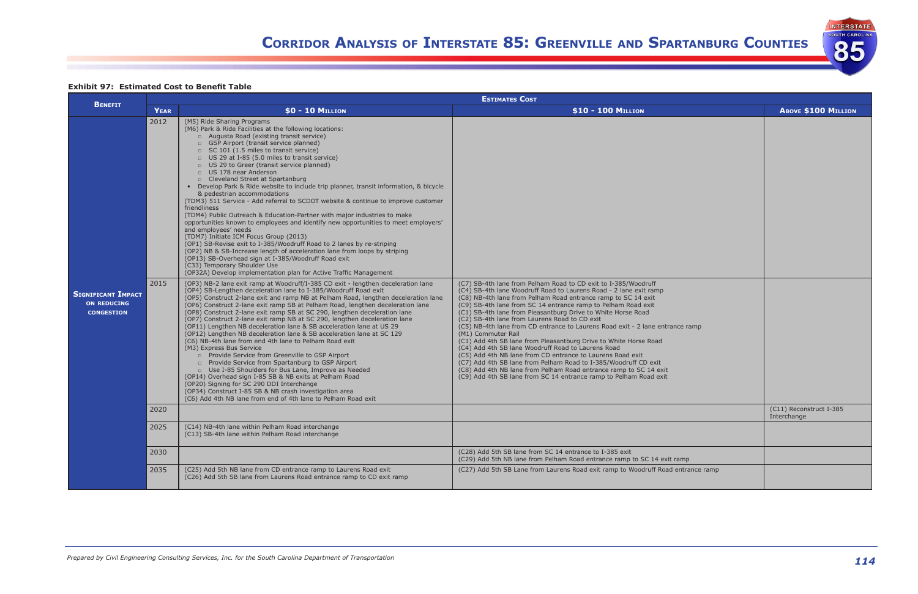

INTERSTATE

85

**Exhibit 97: Estimated Cost to Benefit Table**

|                                                                      | <b>ESTIMATES COST</b> |                                                                                                                                                                                                                                                                                                                                                                                                                                                                                                                                                                                                                                                                                                                                                                                                                                                                                                                                                                                                                                                                                                                                                                                                                                                                                                                                                                                                                                                                                                                                                                                                                                                                                                                                                                                                                                                                                                                                                                                                                                                                                                                                                                                                                                                                                                            |                                                                                                                                                                                                                                                                                                                                                                                                                                                                                                                                                                                                                                                                                                                                                                                                                                                                                                    |                                        |  |  |  |  |
|----------------------------------------------------------------------|-----------------------|------------------------------------------------------------------------------------------------------------------------------------------------------------------------------------------------------------------------------------------------------------------------------------------------------------------------------------------------------------------------------------------------------------------------------------------------------------------------------------------------------------------------------------------------------------------------------------------------------------------------------------------------------------------------------------------------------------------------------------------------------------------------------------------------------------------------------------------------------------------------------------------------------------------------------------------------------------------------------------------------------------------------------------------------------------------------------------------------------------------------------------------------------------------------------------------------------------------------------------------------------------------------------------------------------------------------------------------------------------------------------------------------------------------------------------------------------------------------------------------------------------------------------------------------------------------------------------------------------------------------------------------------------------------------------------------------------------------------------------------------------------------------------------------------------------------------------------------------------------------------------------------------------------------------------------------------------------------------------------------------------------------------------------------------------------------------------------------------------------------------------------------------------------------------------------------------------------------------------------------------------------------------------------------------------------|----------------------------------------------------------------------------------------------------------------------------------------------------------------------------------------------------------------------------------------------------------------------------------------------------------------------------------------------------------------------------------------------------------------------------------------------------------------------------------------------------------------------------------------------------------------------------------------------------------------------------------------------------------------------------------------------------------------------------------------------------------------------------------------------------------------------------------------------------------------------------------------------------|----------------------------------------|--|--|--|--|
| <b>BENEFIT</b>                                                       | <b>YEAR</b>           | $$0 - 10$ MILLION                                                                                                                                                                                                                                                                                                                                                                                                                                                                                                                                                                                                                                                                                                                                                                                                                                                                                                                                                                                                                                                                                                                                                                                                                                                                                                                                                                                                                                                                                                                                                                                                                                                                                                                                                                                                                                                                                                                                                                                                                                                                                                                                                                                                                                                                                          | \$10 - 100 MILLION                                                                                                                                                                                                                                                                                                                                                                                                                                                                                                                                                                                                                                                                                                                                                                                                                                                                                 | <b>ABOVE \$100 MILLION</b>             |  |  |  |  |
| <b>SIGNIFICANT IMPACT</b><br><b>ON REDUCING</b><br><b>CONGESTION</b> | 2012<br>2015          | (M5) Ride Sharing Programs<br>(M6) Park & Ride Facilities at the following locations:<br>Augusta Road (existing transit service)<br>GSP Airport (transit service planned)<br>$\Box$ SC 101 (1.5 miles to transit service)<br>US 29 at I-85 (5.0 miles to transit service)<br>□ US 29 to Greer (transit service planned)<br>US 178 near Anderson<br>□ Cleveland Street at Spartanburg<br>• Develop Park & Ride website to include trip planner, transit information, & bicycle<br>& pedestrian accommodations<br>(TDM3) 511 Service - Add referral to SCDOT website & continue to improve customer<br>friendliness<br>(TDM4) Public Outreach & Education-Partner with major industries to make<br>opportunities known to employees and identify new opportunities to meet employers'<br>and employees' needs<br>(TDM7) Initiate ICM Focus Group (2013)<br>(OP1) SB-Revise exit to I-385/Woodruff Road to 2 lanes by re-striping<br>(OP2) NB & SB-Increase length of acceleration lane from loops by striping<br>(OP13) SB-Overhead sign at I-385/Woodruff Road exit<br>(C33) Temporary Shoulder Use<br>(OP32A) Develop implementation plan for Active Traffic Management<br>(OP3) NB-2 lane exit ramp at Woodruff/I-385 CD exit - lengthen deceleration lane<br>(OP4) SB-Lengthen deceleration lane to I-385/Woodruff Road exit<br>(OP5) Construct 2-lane exit and ramp NB at Pelham Road, lengthen deceleration lane<br>(OP6) Construct 2-lane exit ramp SB at Pelham Road, lengthen deceleration lane<br>(OP8) Construct 2-lane exit ramp SB at SC 290, lengthen deceleration lane<br>(OP7) Construct 2-lane exit ramp NB at SC 290, lengthen deceleration lane<br>(OP11) Lengthen NB deceleration lane & SB acceleration lane at US 29<br>(OP12) Lengthen NB deceleration lane & SB acceleration lane at SC 129<br>(C6) NB-4th lane from end 4th lane to Pelham Road exit<br>(M3) Express Bus Service<br>n Provide Service from Greenville to GSP Airport<br>D Provide Service from Spartanburg to GSP Airport<br>D Use I-85 Shoulders for Bus Lane, Improve as Needed<br>(OP14) Overhead sign I-85 SB & NB exits at Pelham Road<br>(OP20) Signing for SC 290 DDI Interchange<br>(OP34) Construct I-85 SB & NB crash investigation area<br>(C6) Add 4th NB lane from end of 4th lane to Pelham Road exit | (C7) SB-4th lane from Pelham Road to CD exit to I-385/Woodruff<br>(C4) SB-4th lane Woodruff Road to Laurens Road - 2 lane exit ramp<br>(C8) NB-4th lane from Pelham Road entrance ramp to SC 14 exit<br>(C9) SB-4th lane from SC 14 entrance ramp to Pelham Road exit<br>(C1) SB-4th lane from Pleasantburg Drive to White Horse Road<br>(C2) SB-4th lane from Laurens Road to CD exit<br>(C5) NB-4th lane from CD entrance to Laurens Road exit - 2 lane entrance ramp<br>(M1) Commuter Rail<br>(C1) Add 4th SB lane from Pleasantburg Drive to White Horse Road<br>(C4) Add 4th SB lane Woodruff Road to Laurens Road<br>(C5) Add 4th NB lane from CD entrance to Laurens Road exit<br>(C7) Add 4th SB lane from Pelham Road to I-385/Woodruff CD exit<br>(C8) Add 4th NB lane from Pelham Road entrance ramp to SC 14 exit<br>(C9) Add 4th SB lane from SC 14 entrance ramp to Pelham Road exit |                                        |  |  |  |  |
|                                                                      | 2020                  |                                                                                                                                                                                                                                                                                                                                                                                                                                                                                                                                                                                                                                                                                                                                                                                                                                                                                                                                                                                                                                                                                                                                                                                                                                                                                                                                                                                                                                                                                                                                                                                                                                                                                                                                                                                                                                                                                                                                                                                                                                                                                                                                                                                                                                                                                                            |                                                                                                                                                                                                                                                                                                                                                                                                                                                                                                                                                                                                                                                                                                                                                                                                                                                                                                    | (C11) Reconstruct I-385<br>Interchange |  |  |  |  |
|                                                                      | 2025                  | (C14) NB-4th lane within Pelham Road interchange<br>(C13) SB-4th lane within Pelham Road interchange                                                                                                                                                                                                                                                                                                                                                                                                                                                                                                                                                                                                                                                                                                                                                                                                                                                                                                                                                                                                                                                                                                                                                                                                                                                                                                                                                                                                                                                                                                                                                                                                                                                                                                                                                                                                                                                                                                                                                                                                                                                                                                                                                                                                       |                                                                                                                                                                                                                                                                                                                                                                                                                                                                                                                                                                                                                                                                                                                                                                                                                                                                                                    |                                        |  |  |  |  |
|                                                                      | 2030                  |                                                                                                                                                                                                                                                                                                                                                                                                                                                                                                                                                                                                                                                                                                                                                                                                                                                                                                                                                                                                                                                                                                                                                                                                                                                                                                                                                                                                                                                                                                                                                                                                                                                                                                                                                                                                                                                                                                                                                                                                                                                                                                                                                                                                                                                                                                            | (C28) Add 5th SB lane from SC 14 entrance to I-385 exit<br>(C29) Add 5th NB lane from Pelham Road entrance ramp to SC 14 exit ramp                                                                                                                                                                                                                                                                                                                                                                                                                                                                                                                                                                                                                                                                                                                                                                 |                                        |  |  |  |  |
|                                                                      | 2035                  | (C25) Add 5th NB lane from CD entrance ramp to Laurens Road exit<br>(C26) Add 5th SB lane from Laurens Road entrance ramp to CD exit ramp                                                                                                                                                                                                                                                                                                                                                                                                                                                                                                                                                                                                                                                                                                                                                                                                                                                                                                                                                                                                                                                                                                                                                                                                                                                                                                                                                                                                                                                                                                                                                                                                                                                                                                                                                                                                                                                                                                                                                                                                                                                                                                                                                                  | (C27) Add 5th SB Lane from Laurens Road exit ramp to Woodruff Road entrance ramp                                                                                                                                                                                                                                                                                                                                                                                                                                                                                                                                                                                                                                                                                                                                                                                                                   |                                        |  |  |  |  |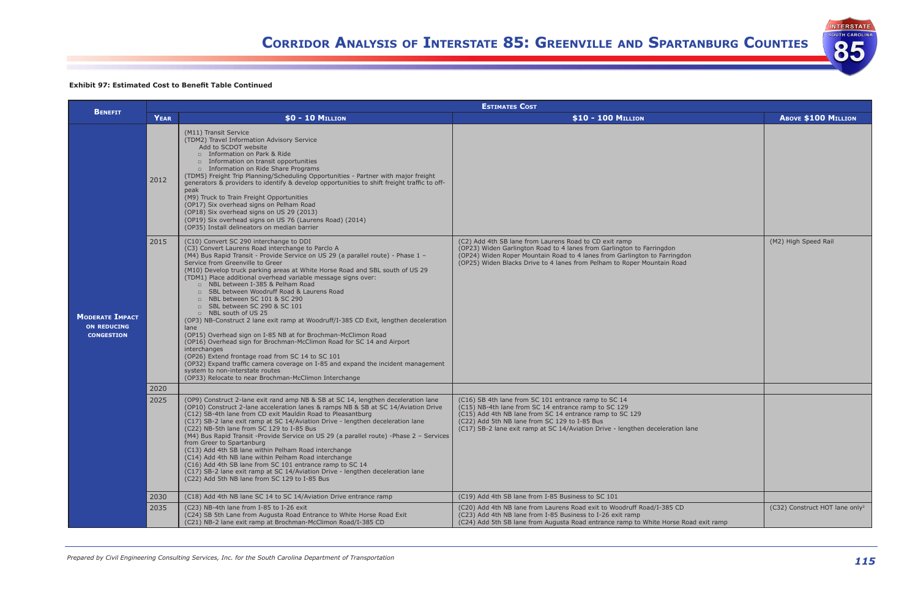### **Exhibit 97: Estimated Cost to Benefit Table Continued**

|                                                                   | <b>ESTIMATES COST</b> |                                                                                                                                                                                                                                                                                                                                                                                                                                                                                                                                                                                                                                                                                                                                                                                                                                                                                                                                                                                                                                                  |                                                                                                                                                                                                                                                                                                             |                             |  |  |  |  |
|-------------------------------------------------------------------|-----------------------|--------------------------------------------------------------------------------------------------------------------------------------------------------------------------------------------------------------------------------------------------------------------------------------------------------------------------------------------------------------------------------------------------------------------------------------------------------------------------------------------------------------------------------------------------------------------------------------------------------------------------------------------------------------------------------------------------------------------------------------------------------------------------------------------------------------------------------------------------------------------------------------------------------------------------------------------------------------------------------------------------------------------------------------------------|-------------------------------------------------------------------------------------------------------------------------------------------------------------------------------------------------------------------------------------------------------------------------------------------------------------|-----------------------------|--|--|--|--|
| <b>BENEFIT</b>                                                    | <b>YEAR</b>           | $$0 - 10$ MILLION                                                                                                                                                                                                                                                                                                                                                                                                                                                                                                                                                                                                                                                                                                                                                                                                                                                                                                                                                                                                                                | \$10 - 100 MILLION                                                                                                                                                                                                                                                                                          | <b>ABOVE \$100 MILLION</b>  |  |  |  |  |
|                                                                   | 2012                  | (M11) Transit Service<br>(TDM2) Travel Information Advisory Service<br>Add to SCDOT website<br>$\Box$ Information on Park & Ride<br>Information on transit opportunities<br>Information on Ride Share Programs<br>(TDM5) Freight Trip Planning/Scheduling Opportunities - Partner with major freight<br>generators & providers to identify & develop opportunities to shift freight traffic to off-<br>peak<br>(M9) Truck to Train Freight Opportunities<br>(OP17) Six overhead signs on Pelham Road<br>(OP18) Six overhead signs on US 29 (2013)<br>(OP19) Six overhead signs on US 76 (Laurens Road) (2014)<br>(OP35) Install delineators on median barrier                                                                                                                                                                                                                                                                                                                                                                                    |                                                                                                                                                                                                                                                                                                             |                             |  |  |  |  |
| <b>MODERATE IMPACT</b><br><b>ON REDUCING</b><br><b>CONGESTION</b> | 2015                  | (C10) Convert SC 290 interchange to DDI<br>(C3) Convert Laurens Road interchange to Parclo A<br>(M4) Bus Rapid Transit - Provide Service on US 29 (a parallel route) - Phase 1 -<br>Service from Greenville to Greer<br>(M10) Develop truck parking areas at White Horse Road and SBL south of US 29<br>(TDM1) Place additional overhead variable message signs over:<br>□ NBL between I-385 & Pelham Road<br>□ SBL between Woodruff Road & Laurens Road<br>□ NBL between SC 101 & SC 290<br>□ SBL between SC 290 & SC 101<br>□ NBL south of US 25<br>(OP3) NB-Construct 2 lane exit ramp at Woodruff/I-385 CD Exit, lengthen deceleration<br>lane<br>(OP15) Overhead sign on I-85 NB at for Brochman-McClimon Road<br>(OP16) Overhead sign for Brochman-McClimon Road for SC 14 and Airport<br>interchanges<br>(OP26) Extend frontage road from SC 14 to SC 101<br>(OP32) Expand traffic camera coverage on I-85 and expand the incident management<br>system to non-interstate routes<br>(OP33) Relocate to near Brochman-McClimon Interchange | (C2) Add 4th SB lane from Laurens Road to CD exit ramp<br>(OP23) Widen Garlington Road to 4 lanes from Garlington to Farringdon<br>(OP24) Widen Roper Mountain Road to 4 lanes from Garlington to Farringdon<br>(OP25) Widen Blacks Drive to 4 lanes from Pelham to Roper Mountain Road                     | (M2) High Speed Rail        |  |  |  |  |
|                                                                   | 2020                  |                                                                                                                                                                                                                                                                                                                                                                                                                                                                                                                                                                                                                                                                                                                                                                                                                                                                                                                                                                                                                                                  |                                                                                                                                                                                                                                                                                                             |                             |  |  |  |  |
|                                                                   | 2025                  | (OP9) Construct 2-lane exit rand amp NB & SB at SC 14, lengthen deceleration lane<br>(OP10) Construct 2-lane acceleration lanes & ramps NB & SB at SC 14/Aviation Drive<br>(C12) SB-4th lane from CD exit Mauldin Road to Pleasantburg<br>(C17) SB-2 lane exit ramp at SC 14/Aviation Drive - lengthen deceleration lane<br>(C22) NB-5th lane from SC 129 to I-85 Bus<br>(M4) Bus Rapid Transit -Provide Service on US 29 (a parallel route) -Phase 2 - Services<br>from Greer to Spartanburg<br>(C13) Add 4th SB lane within Pelham Road interchange<br>(C14) Add 4th NB lane within Pelham Road interchange<br>(C16) Add 4th SB lane from SC 101 entrance ramp to SC 14<br>(C17) SB-2 lane exit ramp at SC 14/Aviation Drive - lengthen deceleration lane<br>(C22) Add 5th NB lane from SC 129 to I-85 Bus                                                                                                                                                                                                                                     | (C16) SB 4th lane from SC 101 entrance ramp to SC 14<br>(C15) NB-4th lane from SC 14 entrance ramp to SC 129<br>(C15) Add 4th NB lane from SC 14 entrance ramp to SC 129<br>(C22) Add 5th NB lane from SC 129 to I-85 Bus<br>(C17) SB-2 lane exit ramp at SC 14/Aviation Drive - lengthen deceleration lane |                             |  |  |  |  |
|                                                                   | 2030                  | (C18) Add 4th NB lane SC 14 to SC 14/Aviation Drive entrance ramp                                                                                                                                                                                                                                                                                                                                                                                                                                                                                                                                                                                                                                                                                                                                                                                                                                                                                                                                                                                | (C19) Add 4th SB lane from I-85 Business to SC 101                                                                                                                                                                                                                                                          |                             |  |  |  |  |
|                                                                   | 2035                  | (C23) NB-4th lane from I-85 to I-26 exit<br>(C24) SB 5th Lane from Augusta Road Entrance to White Horse Road Exit<br>(C21) NB-2 lane exit ramp at Brochman-McClimon Road/I-385 CD                                                                                                                                                                                                                                                                                                                                                                                                                                                                                                                                                                                                                                                                                                                                                                                                                                                                | (C20) Add 4th NB lane from Laurens Road exit to Woodruff Road/I-385 CD<br>(C23) Add 4th NB lane from I-85 Business to I-26 exit ramp<br>(C24) Add 5th SB lane from Augusta Road entrance ramp to White Horse Road exit ramp                                                                                 | (C32) Construct HOT lane or |  |  |  |  |

|                | ABOVE \$100 MILLION                        |
|----------------|--------------------------------------------|
|                |                                            |
| lon<br>d       | (M2) High Speed Rail                       |
|                |                                            |
|                |                                            |
|                |                                            |
| lane           |                                            |
|                |                                            |
|                |                                            |
| Road exit ramp | (C32) Construct HOT lane only <sup>2</sup> |
|                |                                            |

**INTERSTATE UTH CAROLINA** 

85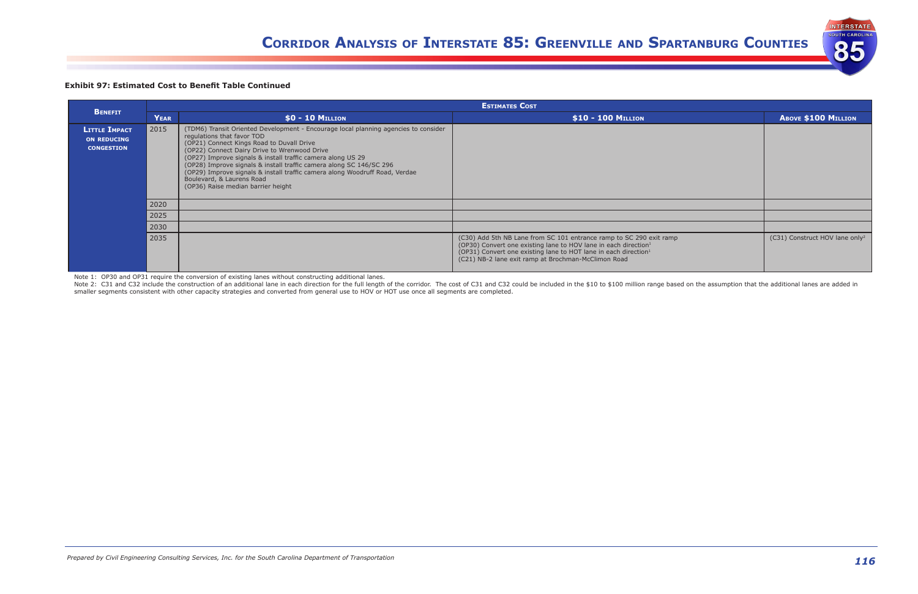**INTERSTATE UTH CAROLIN** 

85

### **Exhibit 97: Estimated Cost to Benefit Table Continued**

|                                                                 |      | <b>ESTIMATES COST</b>                                                                                                                                                                                                                                                                                                                                                                                                                                                                                  |                                                                                                                                                                                                                                                                                          |                                            |  |  |  |  |  |  |  |
|-----------------------------------------------------------------|------|--------------------------------------------------------------------------------------------------------------------------------------------------------------------------------------------------------------------------------------------------------------------------------------------------------------------------------------------------------------------------------------------------------------------------------------------------------------------------------------------------------|------------------------------------------------------------------------------------------------------------------------------------------------------------------------------------------------------------------------------------------------------------------------------------------|--------------------------------------------|--|--|--|--|--|--|--|
| <b>BENEFIT</b>                                                  | YEAR | $$0 - 10$ Million                                                                                                                                                                                                                                                                                                                                                                                                                                                                                      | \$10 - 100 MILLION                                                                                                                                                                                                                                                                       | <b>ABOVE \$100 MILLION</b>                 |  |  |  |  |  |  |  |
| <b>LITTLE IMPACT</b><br><b>ON REDUCING</b><br><b>CONGESTION</b> | 2015 | (TDM6) Transit Oriented Development - Encourage local planning agencies to consider<br>regulations that favor TOD<br>(OP21) Connect Kings Road to Duvall Drive<br>(OP22) Connect Dairy Drive to Wrenwood Drive<br>(OP27) Improve signals & install traffic camera along US 29<br>(OP28) Improve signals & install traffic camera along SC 146/SC 296<br>(OP29) Improve signals & install traffic camera along Woodruff Road, Verdae<br>Boulevard, & Laurens Road<br>(OP36) Raise median barrier height |                                                                                                                                                                                                                                                                                          |                                            |  |  |  |  |  |  |  |
|                                                                 | 2020 |                                                                                                                                                                                                                                                                                                                                                                                                                                                                                                        |                                                                                                                                                                                                                                                                                          |                                            |  |  |  |  |  |  |  |
|                                                                 | 2025 |                                                                                                                                                                                                                                                                                                                                                                                                                                                                                                        |                                                                                                                                                                                                                                                                                          |                                            |  |  |  |  |  |  |  |
|                                                                 | 2030 |                                                                                                                                                                                                                                                                                                                                                                                                                                                                                                        |                                                                                                                                                                                                                                                                                          |                                            |  |  |  |  |  |  |  |
|                                                                 | 2035 |                                                                                                                                                                                                                                                                                                                                                                                                                                                                                                        | (C30) Add 5th NB Lane from SC 101 entrance ramp to SC 290 exit ramp<br>(OP30) Convert one existing lane to HOV lane in each direction <sup>1</sup><br>(OP31) Convert one existing lane to HOT lane in each direction <sup>1</sup><br>(C21) NB-2 lane exit ramp at Brochman-McClimon Road | (C31) Construct HOV lane only <sup>2</sup> |  |  |  |  |  |  |  |

Note 2: C31 and C32 include the construction of an additional lane in each direction for the full length of the corridor. The cost of C31 and C32 could be included in the \$10 to \$100 million range based on the assumption t smaller segments consistent with other capacity strategies and converted from general use to HOV or HOT use once all segments are completed.

Note 1: OP30 and OP31 require the conversion of existing lanes without constructing additional lanes.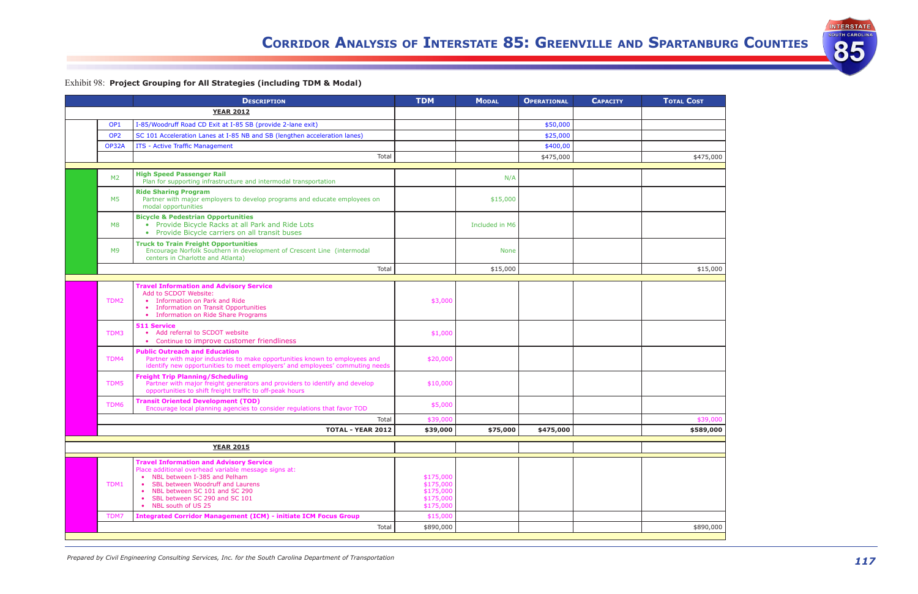*117 Prepared by Civil Engineering Consulting Services, Inc. for the South Carolina Department of Transportation*



| TAL COST  |
|-----------|
|           |
|           |
|           |
|           |
|           |
|           |
|           |
| \$475,000 |
|           |
|           |
|           |
|           |
|           |
|           |
|           |
|           |
|           |
|           |
|           |
|           |
|           |
|           |
|           |
| \$15,000  |
|           |
|           |
|           |
|           |
|           |
|           |
|           |
|           |
|           |
|           |
|           |
|           |
|           |
|           |
|           |
|           |
|           |
|           |
|           |
|           |
| \$39,000  |
|           |
| \$589,000 |
|           |
|           |
|           |
|           |
|           |
|           |
|           |
|           |
|           |
|           |
|           |
|           |
|           |
|           |
| \$890,000 |

# Exhibit 98: **Project Grouping for All Strategies (including TDM & Modal)**

|                 | <b>DESCRIPTION</b>                                                                                                                                                                                                         | <b>TDM</b>                                                    | <b>MODAL</b>   | <b>OPERATIONAL</b> | <b>CAPACITY</b> | <b>TOTAL COST</b> |
|-----------------|----------------------------------------------------------------------------------------------------------------------------------------------------------------------------------------------------------------------------|---------------------------------------------------------------|----------------|--------------------|-----------------|-------------------|
|                 | <b>YEAR 2012</b>                                                                                                                                                                                                           |                                                               |                |                    |                 |                   |
| OP <sub>1</sub> | I-85/Woodruff Road CD Exit at I-85 SB (provide 2-lane exit)                                                                                                                                                                |                                                               |                | \$50,000           |                 |                   |
| OP <sub>2</sub> | SC 101 Acceleration Lanes at I-85 NB and SB (lengthen acceleration lanes)                                                                                                                                                  |                                                               |                | \$25,000           |                 |                   |
| OP32A           | ITS - Active Traffic Management                                                                                                                                                                                            |                                                               |                | \$400,00           |                 |                   |
|                 | Total                                                                                                                                                                                                                      |                                                               |                | \$475,000          |                 | \$475,000         |
| M <sub>2</sub>  | <b>High Speed Passenger Rail</b><br>Plan for supporting infrastructure and intermodal transportation                                                                                                                       |                                                               | N/A            |                    |                 |                   |
| M5              | <b>Ride Sharing Program</b><br>Partner with major employers to develop programs and educate employees on<br>modal opportunities                                                                                            |                                                               | \$15,000       |                    |                 |                   |
| M8              | <b>Bicycle &amp; Pedestrian Opportunities</b><br>• Provide Bicycle Racks at all Park and Ride Lots<br>Provide Bicycle carriers on all transit buses<br>$\bullet$                                                           |                                                               | Included in M6 |                    |                 |                   |
| M <sub>9</sub>  | <b>Truck to Train Freight Opportunities</b><br>Encourage Norfolk Southern in development of Crescent Line (intermodal<br>centers in Charlotte and Atlanta)                                                                 |                                                               | <b>None</b>    |                    |                 |                   |
|                 | Total                                                                                                                                                                                                                      |                                                               | \$15,000       |                    |                 | \$15,000          |
|                 | <b>Travel Information and Advisory Service</b>                                                                                                                                                                             |                                                               |                |                    |                 |                   |
| TDM2            | Add to SCDOT Website:<br>Information on Park and Ride<br><b>Information on Transit Opportunities</b><br>$\bullet$<br>• Information on Ride Share Programs                                                                  | \$3,000                                                       |                |                    |                 |                   |
| TDM3            | <b>511 Service</b><br>Add referral to SCDOT website<br>$\bullet$<br>Continue to improve customer friendliness<br>$\bullet$                                                                                                 | \$1,000                                                       |                |                    |                 |                   |
| TDM4            | <b>Public Outreach and Education</b><br>Partner with major industries to make opportunities known to employees and<br>identify new opportunities to meet employers' and employees' commuting needs                         | \$20,000                                                      |                |                    |                 |                   |
| TDM5            | <b>Freight Trip Planning/Scheduling</b><br>Partner with major freight generators and providers to identify and develop<br>opportunities to shift freight traffic to off-peak hours                                         | \$10,000                                                      |                |                    |                 |                   |
| TDM6            | <b>Transit Oriented Development (TOD)</b><br>Encourage local planning agencies to consider regulations that favor TOD                                                                                                      | \$5,000                                                       |                |                    |                 |                   |
|                 | Total                                                                                                                                                                                                                      | \$39,000                                                      |                |                    |                 | \$39,000          |
|                 | <b>TOTAL - YEAR 2012</b>                                                                                                                                                                                                   | \$39,000                                                      | \$75,000       | \$475,000          |                 | \$589,000         |
|                 | <b>YEAR 2015</b>                                                                                                                                                                                                           |                                                               |                |                    |                 |                   |
|                 | <b>Travel Information and Advisory Service</b>                                                                                                                                                                             |                                                               |                |                    |                 |                   |
| TDM1            | Place additional overhead variable message signs at:<br>• NBL between I-385 and Pelham<br>• SBL between Woodruff and Laurens<br>• NBL between SC 101 and SC 290<br>• SBL between SC 290 and SC 101<br>• NBL south of US 25 | \$175,000<br>\$175,000<br>\$175,000<br>\$175,000<br>\$175,000 |                |                    |                 |                   |
| TDM7            | <b>Integrated Corridor Management (ICM) - initiate ICM Focus Group</b>                                                                                                                                                     | \$15,000                                                      |                |                    |                 |                   |
|                 | Total                                                                                                                                                                                                                      | \$890,000                                                     |                |                    |                 | \$890,000         |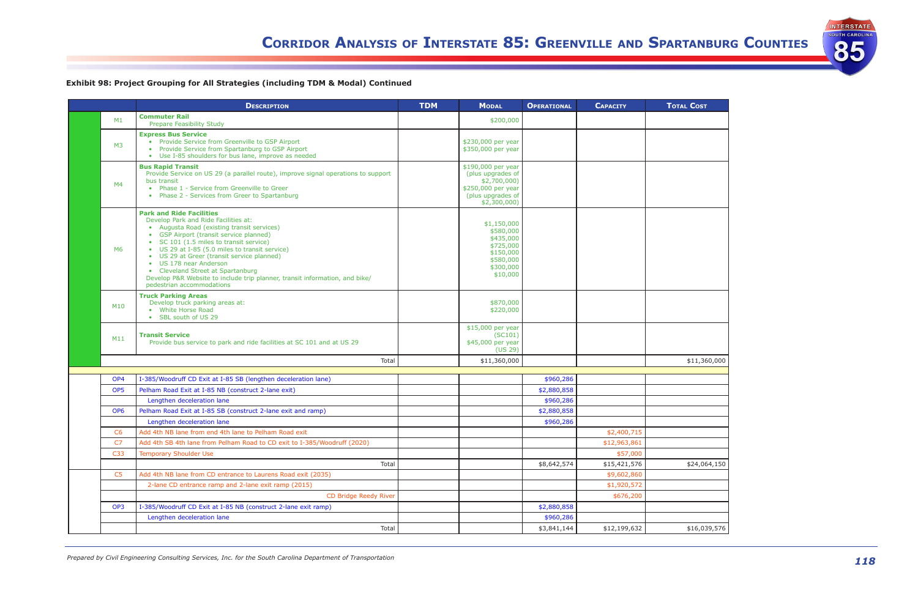

| <b>Cost</b><br>דנ<br>Г   |
|--------------------------|
|                          |
|                          |
|                          |
|                          |
|                          |
|                          |
|                          |
|                          |
|                          |
|                          |
|                          |
|                          |
|                          |
|                          |
|                          |
|                          |
| \$11,360,000             |
|                          |
|                          |
|                          |
|                          |
|                          |
|                          |
| \$24,064,150             |
|                          |
|                          |
|                          |
| $\overline{$16,039,576}$ |
|                          |

|                 | <b>DESCRIPTION</b>                                                                                                                                                                                                                                                                                                                                                                                                                                                                                           | <b>TDM</b> | <b>MODAL</b>                                                                                                      | <b>OPERATIONAL</b> | <b>CAPACITY</b> | <b>TOTAL COST</b> |
|-----------------|--------------------------------------------------------------------------------------------------------------------------------------------------------------------------------------------------------------------------------------------------------------------------------------------------------------------------------------------------------------------------------------------------------------------------------------------------------------------------------------------------------------|------------|-------------------------------------------------------------------------------------------------------------------|--------------------|-----------------|-------------------|
| M1              | <b>Commuter Rail</b><br><b>Prepare Feasibility Study</b>                                                                                                                                                                                                                                                                                                                                                                                                                                                     |            | \$200,000                                                                                                         |                    |                 |                   |
| M3              | <b>Express Bus Service</b><br>• Provide Service from Greenville to GSP Airport<br>Provide Service from Spartanburg to GSP Airport<br>Use I-85 shoulders for bus lane, improve as needed<br>$\bullet$                                                                                                                                                                                                                                                                                                         |            | \$230,000 per year<br>\$350,000 per year                                                                          |                    |                 |                   |
| M <sub>4</sub>  | <b>Bus Rapid Transit</b><br>Provide Service on US 29 (a parallel route), improve signal operations to support<br>bus transit<br>Phase 1 - Service from Greenville to Greer<br>$\bullet$<br>• Phase 2 - Services from Greer to Spartanburg                                                                                                                                                                                                                                                                    |            | \$190,000 per year<br>(plus upgrades of<br>\$2,700,000<br>\$250,000 per year<br>(plus upgrades of<br>\$2,300,000) |                    |                 |                   |
| M6              | <b>Park and Ride Facilities</b><br>Develop Park and Ride Facilities at:<br>Augusta Road (existing transit services)<br>$\bullet$<br>• GSP Airport (transit service planned)<br>SC 101 (1.5 miles to transit service)<br>$\bullet$<br>• US 29 at I-85 (5.0 miles to transit service)<br>• US 29 at Greer (transit service planned)<br>• US 178 near Anderson<br>• Cleveland Street at Spartanburg<br>Develop P&R Website to include trip planner, transit information, and bike/<br>pedestrian accommodations |            | \$1,150,000<br>\$580,000<br>\$435,000<br>\$725,000<br>\$150,000<br>\$580,000<br>\$300,000<br>\$10,000             |                    |                 |                   |
| M <sub>10</sub> | <b>Truck Parking Areas</b><br>Develop truck parking areas at:<br>White Horse Road<br>$\bullet$<br>SBL south of US 29<br>$\bullet$                                                                                                                                                                                                                                                                                                                                                                            |            | \$870,000<br>\$220,000                                                                                            |                    |                 |                   |
| M11             | <b>Transit Service</b><br>Provide bus service to park and ride facilities at SC 101 and at US 29                                                                                                                                                                                                                                                                                                                                                                                                             |            | \$15,000 per year<br>(SC101)<br>\$45,000 per year<br>(US 29)                                                      |                    |                 |                   |
|                 | Total                                                                                                                                                                                                                                                                                                                                                                                                                                                                                                        |            | \$11,360,000                                                                                                      |                    |                 | \$11,360,000      |
| OP <sub>4</sub> | I-385/Woodruff CD Exit at I-85 SB (lengthen deceleration lane)                                                                                                                                                                                                                                                                                                                                                                                                                                               |            |                                                                                                                   | \$960,286          |                 |                   |
| OP <sub>5</sub> | Pelham Road Exit at I-85 NB (construct 2-lane exit)                                                                                                                                                                                                                                                                                                                                                                                                                                                          |            |                                                                                                                   | \$2,880,858        |                 |                   |
|                 | Lengthen deceleration lane                                                                                                                                                                                                                                                                                                                                                                                                                                                                                   |            |                                                                                                                   | \$960,286          |                 |                   |
| OP <sub>6</sub> | Pelham Road Exit at I-85 SB (construct 2-lane exit and ramp)                                                                                                                                                                                                                                                                                                                                                                                                                                                 |            |                                                                                                                   | \$2,880,858        |                 |                   |
|                 | Lengthen deceleration lane                                                                                                                                                                                                                                                                                                                                                                                                                                                                                   |            |                                                                                                                   | \$960,286          |                 |                   |
| C <sub>6</sub>  | Add 4th NB lane from end 4th lane to Pelham Road exit                                                                                                                                                                                                                                                                                                                                                                                                                                                        |            |                                                                                                                   |                    | \$2,400,715     |                   |
| C <sub>7</sub>  | Add 4th SB 4th lane from Pelham Road to CD exit to I-385/Woodruff (2020)                                                                                                                                                                                                                                                                                                                                                                                                                                     |            |                                                                                                                   |                    | \$12,963,861    |                   |
| C33             | <b>Temporary Shoulder Use</b>                                                                                                                                                                                                                                                                                                                                                                                                                                                                                |            |                                                                                                                   |                    | \$57,000        |                   |
|                 | Total                                                                                                                                                                                                                                                                                                                                                                                                                                                                                                        |            |                                                                                                                   | \$8,642,574        | \$15,421,576    | \$24,064,150      |
| C <sub>5</sub>  | Add 4th NB lane from CD entrance to Laurens Road exit (2035)                                                                                                                                                                                                                                                                                                                                                                                                                                                 |            |                                                                                                                   |                    | \$9,602,860     |                   |
|                 | 2-lane CD entrance ramp and 2-lane exit ramp (2015)                                                                                                                                                                                                                                                                                                                                                                                                                                                          |            |                                                                                                                   |                    | \$1,920,572     |                   |
|                 | CD Bridge Reedy River                                                                                                                                                                                                                                                                                                                                                                                                                                                                                        |            |                                                                                                                   |                    | \$676,200       |                   |
| OP <sub>3</sub> | I-385/Woodruff CD Exit at I-85 NB (construct 2-lane exit ramp)                                                                                                                                                                                                                                                                                                                                                                                                                                               |            |                                                                                                                   | \$2,880,858        |                 |                   |
|                 | Lengthen deceleration lane                                                                                                                                                                                                                                                                                                                                                                                                                                                                                   |            |                                                                                                                   | \$960,286          |                 |                   |
|                 | Total                                                                                                                                                                                                                                                                                                                                                                                                                                                                                                        |            |                                                                                                                   | \$3,841,144        | \$12,199,632    | \$16,039,576      |

# **Exhibit 98: Project Grouping for All Strategies (including TDM & Modal) Continued**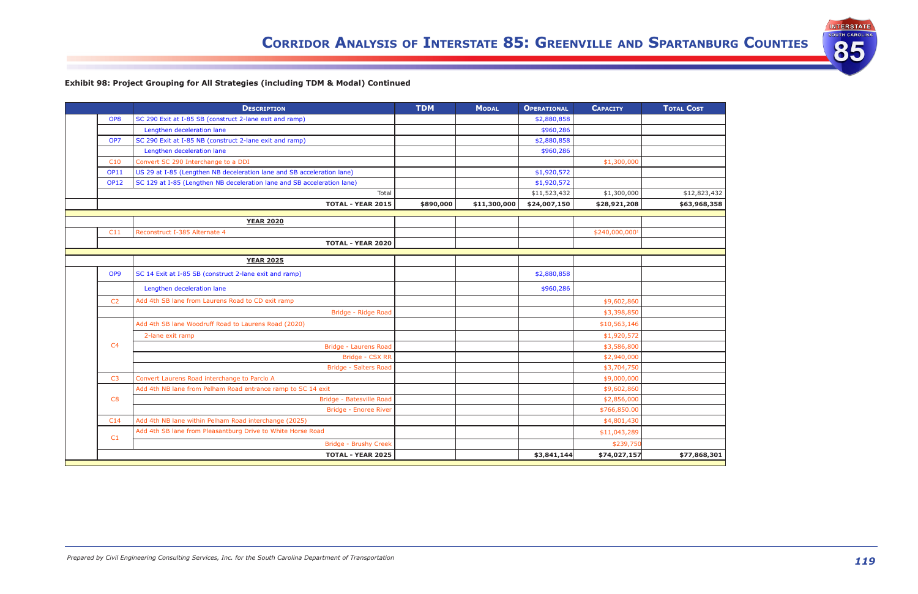



|                 | <b>DESCRIPTION</b>                                                      | <b>TDM</b> | <b>MODAL</b> | <b>OPERATIONAL</b> | <b>CAPACITY</b>            | <b>TOTAL COST</b> |
|-----------------|-------------------------------------------------------------------------|------------|--------------|--------------------|----------------------------|-------------------|
| OP <sub>8</sub> | SC 290 Exit at I-85 SB (construct 2-lane exit and ramp)                 |            |              | \$2,880,858        |                            |                   |
|                 | Lengthen deceleration lane                                              |            |              | \$960,286          |                            |                   |
| OP <sub>7</sub> | SC 290 Exit at I-85 NB (construct 2-lane exit and ramp)                 |            |              | \$2,880,858        |                            |                   |
|                 | Lengthen deceleration lane                                              |            |              | \$960,286          |                            |                   |
| C10             | Convert SC 290 Interchange to a DDI                                     |            |              |                    | \$1,300,000                |                   |
| <b>OP11</b>     | US 29 at I-85 (Lengthen NB deceleration lane and SB acceleration lane)  |            |              | \$1,920,572        |                            |                   |
| <b>OP12</b>     | SC 129 at I-85 (Lengthen NB deceleration lane and SB acceleration lane) |            |              | \$1,920,572        |                            |                   |
|                 | Total                                                                   |            |              | \$11,523,432       | \$1,300,000                | \$12,823,432      |
|                 | <b>TOTAL - YEAR 2015</b>                                                | \$890,000  | \$11,300,000 | \$24,007,150       | \$28,921,208               | \$63,968,358      |
|                 | <b>YEAR 2020</b>                                                        |            |              |                    |                            |                   |
| C11             | Reconstruct I-385 Alternate 4                                           |            |              |                    | \$240,000,000 <sup>1</sup> |                   |
|                 | <b>TOTAL - YEAR 2020</b>                                                |            |              |                    |                            |                   |
|                 |                                                                         |            |              |                    |                            |                   |
|                 | <b>YEAR 2025</b>                                                        |            |              |                    |                            |                   |
| OP <sub>9</sub> | SC 14 Exit at I-85 SB (construct 2-lane exit and ramp)                  |            |              | \$2,880,858        |                            |                   |
|                 | Lengthen deceleration lane                                              |            |              | \$960,286          |                            |                   |
| C <sub>2</sub>  | Add 4th SB lane from Laurens Road to CD exit ramp                       |            |              |                    | \$9,602,860                |                   |
|                 | Bridge - Ridge Road                                                     |            |              |                    | \$3,398,850                |                   |
|                 | Add 4th SB lane Woodruff Road to Laurens Road (2020)                    |            |              |                    | \$10,563,146               |                   |
|                 | 2-lane exit ramp                                                        |            |              |                    | \$1,920,572                |                   |
| C <sub>4</sub>  | Bridge - Laurens Road                                                   |            |              |                    | \$3,586,800                |                   |
|                 | Bridge - CSX RR                                                         |            |              |                    | \$2,940,000                |                   |
|                 | <b>Bridge - Salters Road</b>                                            |            |              |                    | \$3,704,750                |                   |
| C <sub>3</sub>  | Convert Laurens Road interchange to Parclo A                            |            |              |                    | \$9,000,000                |                   |
|                 | Add 4th NB lane from Pelham Road entrance ramp to SC 14 exit            |            |              |                    | \$9,602,860                |                   |
| C8              | Bridge - Batesville Road                                                |            |              |                    | \$2,856,000                |                   |
|                 | Bridge - Enoree River                                                   |            |              |                    | \$766,850.00               |                   |
| C14             | Add 4th NB lane within Pelham Road interchange (2025)                   |            |              |                    | \$4,801,430                |                   |
| C1              | Add 4th SB lane from Pleasantburg Drive to White Horse Road             |            |              |                    | \$11,043,289               |                   |
|                 | <b>Bridge - Brushy Creek</b>                                            |            |              |                    | \$239,750                  |                   |
|                 | <b>TOTAL - YEAR 2025</b>                                                |            |              | \$3,841,144        | \$74,027,157               | \$77,868,301      |

# **Exhibit 98: Project Grouping for All Strategies (including TDM & Modal) Continued**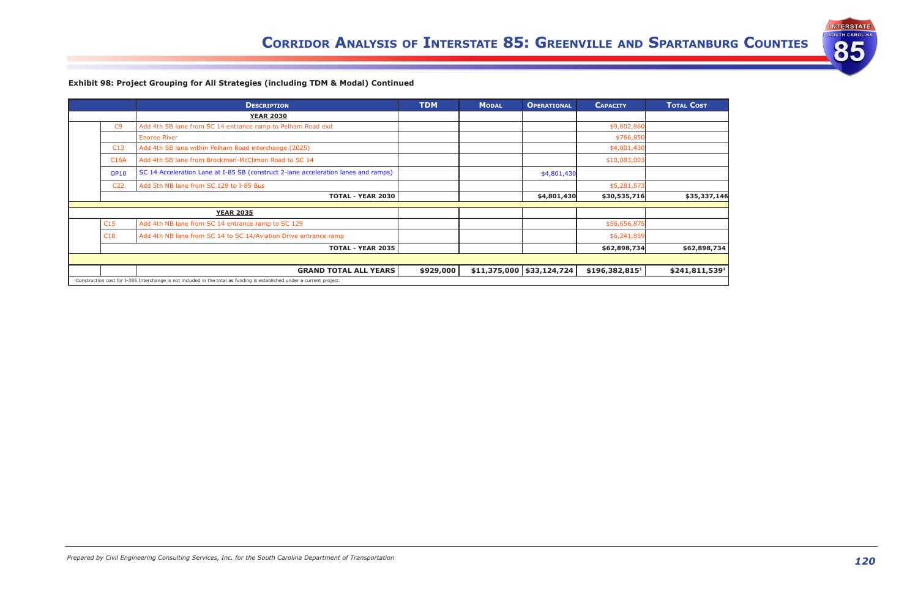



|                 | <b>DESCRIPTION</b>                                                                                                                   | <b>TDM</b> | <b>MODAL</b> | <b>OPERATIONAL</b>             | <b>CAPACITY</b>            | <b>TOTAL COST</b> |
|-----------------|--------------------------------------------------------------------------------------------------------------------------------------|------------|--------------|--------------------------------|----------------------------|-------------------|
|                 | <b>YEAR 2030</b>                                                                                                                     |            |              |                                |                            |                   |
| C9              | Add 4th SB lane from SC 14 entrance ramp to Pelham Road exit                                                                         |            |              |                                | \$9,602,860                |                   |
|                 | <b>Enoree River</b>                                                                                                                  |            |              |                                | \$766,850                  |                   |
| C13             | Add 4th SB lane within Pelham Road interchange (2025)                                                                                |            |              |                                | \$4,801,430                |                   |
| <b>C16A</b>     | Add 4th SB lane from Brockman-McClimon Road to SC 14                                                                                 |            |              |                                | \$10,083,003               |                   |
| <b>OP10</b>     | SC 14 Acceleration Lane at I-85 SB (construct 2-lane acceleration lanes and ramps)                                                   |            |              | \$4,801,430                    |                            |                   |
| C <sub>22</sub> | Add 5th NB lane from SC 129 to I-85 Bus                                                                                              |            |              |                                | \$5,281,573                |                   |
|                 | <b>TOTAL - YEAR 2030</b>                                                                                                             |            |              | \$4,801,430                    | \$30,535,716               | \$35,337,146      |
|                 | <b>YEAR 2035</b>                                                                                                                     |            |              |                                |                            |                   |
| C15             | Add 4th NB lane from SC 14 entrance ramp to SC 129                                                                                   |            |              |                                | \$56,656,875               |                   |
| C18             | Add 4th NB lane from SC 14 to SC 14/Aviation Drive entrance ramp                                                                     |            |              |                                | \$6,241,859                |                   |
|                 | <b>TOTAL - YEAR 2035</b>                                                                                                             |            |              |                                | \$62,898,734               | \$62,898,734      |
|                 |                                                                                                                                      |            |              |                                |                            |                   |
|                 | <b>GRAND TOTAL ALL YEARS</b>                                                                                                         | \$929,000  |              | $$11,375,000 \mid $33,124,724$ | \$196,382,815 <sup>1</sup> | \$241,811,5391    |
|                 | <sup>1</sup> Construction cost for I-385 Interchange is not included in the total as funding is established under a current project. |            |              |                                |                            |                   |

# **Exhibit 98: Project Grouping for All Strategies (including TDM & Modal) Continued**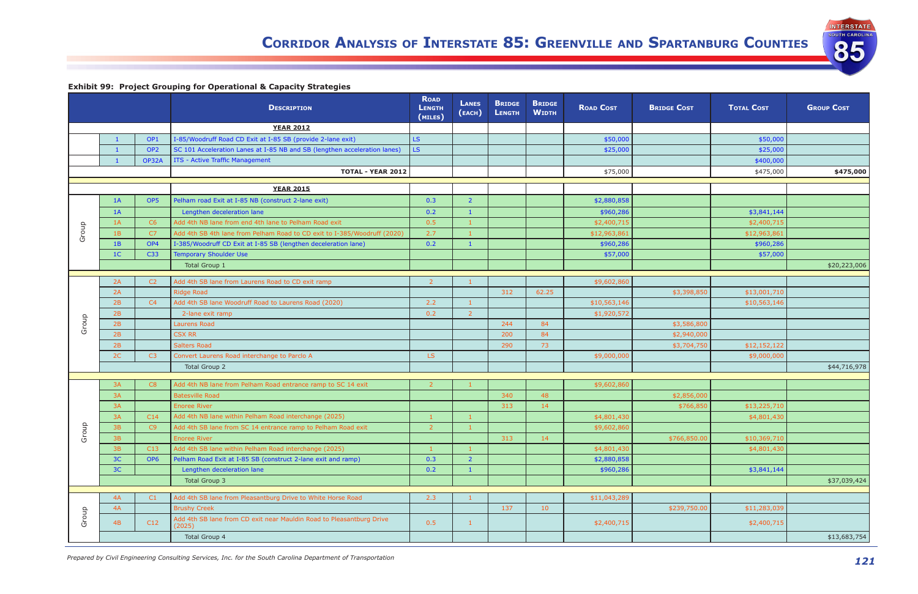*121 Prepared by Civil Engineering Consulting Services, Inc. for the South Carolina Department of Transportation*

INTERSTATE

85

| <b>Exhibit 99: Project Grouping for Operational &amp; Capacity Strategies</b> |  |  |
|-------------------------------------------------------------------------------|--|--|
|                                                                               |  |  |

|       |                |                 | <b>DESCRIPTION</b>                                                             | <b>ROAD</b><br><b>LENGTH</b><br>(MILES) | <b>LANES</b><br>(EACH) | <b>BRIDGE</b><br><b>LENGTH</b> | <b>BRIDGE</b><br><b>WIDTH</b> | <b>ROAD COST</b> | <b>BRIDGE COST</b> | <b>TOTAL COST</b> | <b>GROUP COST</b> |
|-------|----------------|-----------------|--------------------------------------------------------------------------------|-----------------------------------------|------------------------|--------------------------------|-------------------------------|------------------|--------------------|-------------------|-------------------|
|       |                |                 | <b>YEAR 2012</b>                                                               |                                         |                        |                                |                               |                  |                    |                   |                   |
|       |                | OP <sub>1</sub> | I-85/Woodruff Road CD Exit at I-85 SB (provide 2-lane exit)                    | LS.                                     |                        |                                |                               | \$50,000         |                    | \$50,000          |                   |
|       | $\blacksquare$ | OP <sub>2</sub> | SC 101 Acceleration Lanes at I-85 NB and SB (lengthen acceleration lanes)      | LS.                                     |                        |                                |                               | \$25,000         |                    | \$25,000          |                   |
|       |                | OP32A           | ITS - Active Traffic Management                                                |                                         |                        |                                |                               |                  |                    | \$400,000         |                   |
|       |                |                 | <b>TOTAL - YEAR 2012</b>                                                       |                                         |                        |                                |                               | \$75,000         |                    | \$475,000         | \$475,000         |
|       |                |                 | <b>YEAR 2015</b>                                                               |                                         |                        |                                |                               |                  |                    |                   |                   |
|       | 1A             | OP <sub>5</sub> | Pelham road Exit at I-85 NB (construct 2-lane exit)                            | 0.3                                     | $\overline{2}$         |                                |                               | \$2,880,858      |                    |                   |                   |
|       | 1A             |                 | Lengthen deceleration lane                                                     | 0.2                                     |                        |                                |                               | \$960,286        |                    | \$3,841,144       |                   |
|       | 1A             | C6              | Add 4th NB lane from end 4th lane to Pelham Road exit                          | 0.5                                     |                        |                                |                               | \$2,400,715      |                    | \$2,400,715       |                   |
| Group | 1B             | C7              | Add 4th SB 4th lane from Pelham Road to CD exit to I-385/Woodruff (2020)       | 2.7                                     |                        |                                |                               | \$12,963,861     |                    | \$12,963,861      |                   |
|       | 1B             | OP4             | I-385/Woodruff CD Exit at I-85 SB (lengthen deceleration lane)                 | 0.2                                     | -1                     |                                |                               | \$960,286        |                    | \$960,286         |                   |
|       | 1 <sup>C</sup> | C33             | <b>Temporary Shoulder Use</b>                                                  |                                         |                        |                                |                               | \$57,000         |                    | \$57,000          |                   |
|       |                |                 | <b>Total Group 1</b>                                                           |                                         |                        |                                |                               |                  |                    |                   | \$20,223,006      |
|       |                |                 |                                                                                |                                         |                        |                                |                               |                  |                    |                   |                   |
|       | 2A             | C2              | Add 4th SB lane from Laurens Road to CD exit ramp                              | $\overline{2}$                          |                        |                                |                               | \$9,602,860      |                    |                   |                   |
|       | 2A             |                 | <b>Ridge Road</b>                                                              |                                         |                        | 312                            | 62.25                         |                  | \$3,398,850        | \$13,001,710      |                   |
|       | 2B             | C4              | Add 4th SB lane Woodruff Road to Laurens Road (2020)                           | 2.2                                     |                        |                                |                               | \$10,563,146     |                    | \$10,563,146      |                   |
|       | 2B             |                 | 2-lane exit ramp                                                               | 0.2                                     | 2                      |                                |                               | \$1,920,572      |                    |                   |                   |
| Group | 2B             |                 | Laurens Road                                                                   |                                         |                        | 244                            | 84                            |                  | \$3,586,800        |                   |                   |
|       | 2B             |                 | <b>CSX RR</b>                                                                  |                                         |                        | 200                            | 84                            |                  | \$2,940,000        |                   |                   |
|       | 2B             |                 | <b>Salters Road</b>                                                            |                                         |                        | 290                            | 73                            |                  | \$3,704,750        | \$12,152,122      |                   |
|       | 2C             | C3              | Convert Laurens Road interchange to Parclo A                                   | LS.                                     |                        |                                |                               | \$9,000,000      |                    | \$9,000,000       |                   |
|       |                |                 | <b>Total Group 2</b>                                                           |                                         |                        |                                |                               |                  |                    |                   | \$44,716,978      |
|       | 3A             | C8              | Add 4th NB lane from Pelham Road entrance ramp to SC 14 exit                   | $\mathcal{L}$                           |                        |                                |                               | \$9,602,860      |                    |                   |                   |
|       | 3A             |                 | <b>Batesville Road</b>                                                         |                                         |                        | 340                            | 48                            |                  | \$2,856,000        |                   |                   |
|       | 3A             |                 | <b>Enoree River</b>                                                            |                                         |                        | 313                            | 14                            |                  | \$766,850          | \$13,225,710      |                   |
|       | 3A             | C14             | Add 4th NB lane within Pelham Road interchange (2025)                          |                                         |                        |                                |                               | \$4,801,430      |                    | \$4,801,430       |                   |
|       | 3B             | C9              | Add 4th SB lane from SC 14 entrance ramp to Pelham Road exit                   | $\overline{2}$                          | $-1$                   |                                |                               | \$9,602,860      |                    |                   |                   |
| Group | 3B             |                 | <b>Enoree River</b>                                                            |                                         |                        | 313                            | 14                            |                  | \$766,850.00       | \$10,369,710      |                   |
|       | 3B             | C13             | Add 4th SB lane within Pelham Road interchange (2025)                          |                                         |                        |                                |                               | \$4,801,430      |                    | \$4,801,430       |                   |
|       | 3C             | OP <sub>6</sub> | Pelham Road Exit at I-85 SB (construct 2-lane exit and ramp)                   | 0.3                                     | $\overline{2}$         |                                |                               | \$2,880,858      |                    |                   |                   |
|       | 3C             |                 | Lengthen deceleration lane                                                     | 0.2                                     | -1                     |                                |                               | \$960,286        |                    | \$3,841,144       |                   |
|       |                |                 | <b>Total Group 3</b>                                                           |                                         |                        |                                |                               |                  |                    |                   | \$37,039,424      |
|       |                |                 |                                                                                |                                         |                        |                                |                               |                  |                    |                   |                   |
|       | 4A             | C1              | Add 4th SB lane from Pleasantburg Drive to White Horse Road                    | 2.3                                     |                        |                                |                               | \$11,043,289     |                    |                   |                   |
|       | 4A             |                 | <b>Brushy Creek</b>                                                            |                                         |                        | 137                            | 10                            |                  | \$239,750.00       | \$11,283,039      |                   |
| Group | 4B             | C12             | Add 4th SB lane from CD exit near Mauldin Road to Pleasantburg Drive<br>(2025) | 0.5                                     | $\mathbf{1}$           |                                |                               | \$2,400,715      |                    | \$2,400,715       |                   |
|       |                |                 | <b>Total Group 4</b>                                                           |                                         |                        |                                |                               |                  |                    |                   | \$13,683,754      |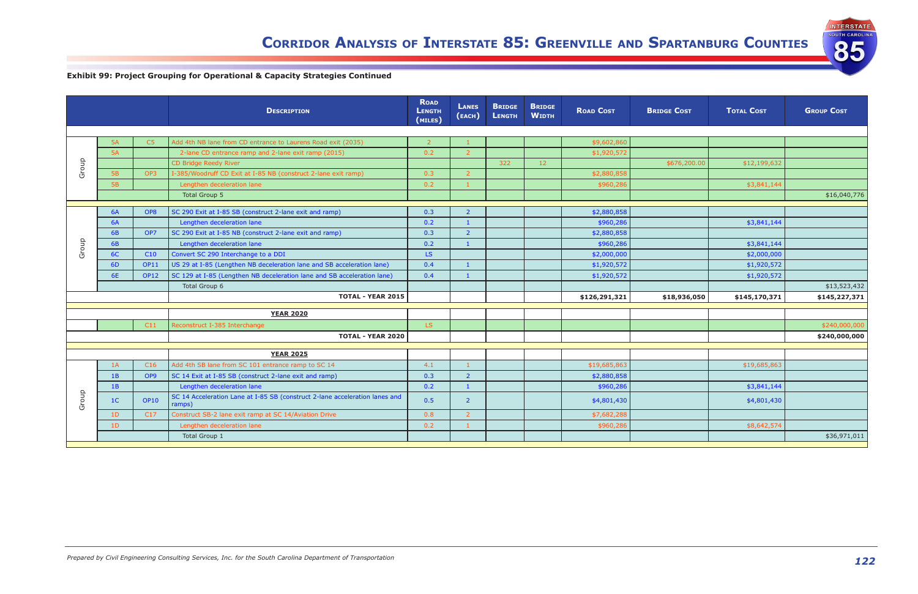| <b>INTERSTATE</b>     |
|-----------------------|
| <b>SOUTH CAROLINA</b> |
|                       |
|                       |

|       |                 |                 | <b>DESCRIPTION</b>                                                                    | <b>ROAD</b><br><b>LENGTH</b><br>(MILES) | <b>LANES</b><br>(EACH) | <b>BRIDGE</b><br><b>LENGTH</b> | <b>BRIDGE</b><br><b>WIDTH</b> | <b>ROAD COST</b> | <b>BRIDGE COST</b> | <b>TOTAL COST</b> | <b>GROUP COST</b> |
|-------|-----------------|-----------------|---------------------------------------------------------------------------------------|-----------------------------------------|------------------------|--------------------------------|-------------------------------|------------------|--------------------|-------------------|-------------------|
|       |                 |                 |                                                                                       |                                         |                        |                                |                               |                  |                    |                   |                   |
|       | <b>5A</b>       | C5              | Add 4th NB lane from CD entrance to Laurens Road exit (2035)                          |                                         |                        |                                |                               | \$9,602,860      |                    |                   |                   |
|       | 5A              |                 | 2-lane CD entrance ramp and 2-lane exit ramp (2015)                                   | 0.2                                     | $\overline{2}$         |                                |                               | \$1,920,572      |                    |                   |                   |
| Group |                 |                 | CD Bridge Reedy River                                                                 |                                         |                        | 322                            | 12 <sub>2</sub>               |                  | \$676,200.00       | \$12,199,632      |                   |
|       | 5B              | OP3             | I-385/Woodruff CD Exit at I-85 NB (construct 2-lane exit ramp)                        | 0.3                                     | $\overline{z}$         |                                |                               | \$2,880,858      |                    |                   |                   |
|       | <b>5B</b>       |                 | Lengthen deceleration lane                                                            | 0.2                                     | $\vert$ 1              |                                |                               | \$960,286        |                    | \$3,841,144       |                   |
|       |                 |                 | Total Group 5                                                                         |                                         |                        |                                |                               |                  |                    |                   | \$16,040,776      |
|       |                 |                 |                                                                                       |                                         |                        |                                |                               |                  |                    |                   |                   |
|       | <b>6A</b>       | OP8             | SC 290 Exit at I-85 SB (construct 2-lane exit and ramp)                               | 0.3                                     | $\overline{2}$         |                                |                               | \$2,880,858      |                    |                   |                   |
|       | <b>6A</b><br>6B | OP7             | Lengthen deceleration lane                                                            | 0.2<br>0.3                              | $\overline{2}$         |                                |                               | \$960,286        |                    | \$3,841,144       |                   |
|       |                 |                 | SC 290 Exit at I-85 NB (construct 2-lane exit and ramp)                               | 0.2                                     |                        |                                |                               | \$2,880,858      |                    |                   |                   |
| Group | 6B              |                 | Lengthen deceleration lane                                                            |                                         |                        |                                |                               | \$960,286        |                    | \$3,841,144       |                   |
|       | 6C              | C10             | Convert SC 290 Interchange to a DDI                                                   | LS.                                     |                        |                                |                               | \$2,000,000      |                    | \$2,000,000       |                   |
|       | 6 <sub>D</sub>  | <b>OP11</b>     | US 29 at I-85 (Lengthen NB deceleration lane and SB acceleration lane)                | 0.4                                     |                        |                                |                               | \$1,920,572      |                    | \$1,920,572       |                   |
|       | 6E              | <b>OP12</b>     | SC 129 at I-85 (Lengthen NB deceleration lane and SB acceleration lane)               | 0.4                                     |                        |                                |                               | \$1,920,572      |                    | \$1,920,572       |                   |
|       |                 |                 | Total Group 6<br><b>TOTAL - YEAR 2015</b>                                             |                                         |                        |                                |                               |                  |                    |                   | \$13,523,432      |
|       |                 |                 |                                                                                       |                                         |                        |                                |                               | \$126,291,321    | \$18,936,050       | \$145,170,371     | \$145,227,371     |
|       |                 |                 | <b>YEAR 2020</b>                                                                      |                                         |                        |                                |                               |                  |                    |                   |                   |
|       |                 | C11             | Reconstruct I-385 Interchange                                                         | LS.                                     |                        |                                |                               |                  |                    |                   | \$240,000,000     |
|       |                 |                 | <b>TOTAL - YEAR 2020</b>                                                              |                                         |                        |                                |                               |                  |                    |                   | \$240,000,000     |
|       |                 |                 |                                                                                       |                                         |                        |                                |                               |                  |                    |                   |                   |
|       |                 |                 | <b>YEAR 2025</b>                                                                      |                                         |                        |                                |                               |                  |                    |                   |                   |
|       | 1A              | C16             | Add 4th SB lane from SC 101 entrance ramp to SC 14                                    | 4.1                                     |                        |                                |                               | \$19,685,863     |                    | \$19,685,863      |                   |
|       | 1B              | OP9             | SC 14 Exit at I-85 SB (construct 2-lane exit and ramp)                                | 0.3                                     | $\overline{2}$         |                                |                               | \$2,880,858      |                    |                   |                   |
|       | 1B              |                 | Lengthen deceleration lane                                                            | 0.2                                     |                        |                                |                               | \$960,286        |                    | \$3,841,144       |                   |
| Group | 1 <sup>C</sup>  | <b>OP10</b>     | SC 14 Acceleration Lane at I-85 SB (construct 2-lane acceleration lanes and<br>ramps) | 0.5                                     | $\overline{2}$         |                                |                               | \$4,801,430      |                    | \$4,801,430       |                   |
|       | 1 <sub>D</sub>  | C <sub>17</sub> | Construct SB-2 lane exit ramp at SC 14/Aviation Drive                                 | 0.8                                     | 2                      |                                |                               | \$7,682,288      |                    |                   |                   |
|       | 1D              |                 | Lengthen deceleration lane                                                            | 0.2                                     |                        |                                |                               | \$960,286        |                    | \$8,642,574       |                   |
|       |                 |                 | Total Group 1                                                                         |                                         |                        |                                |                               |                  |                    |                   | \$36,971,011      |

# **Exhibit 99: Project Grouping for Operational & Capacity Strategies Continued**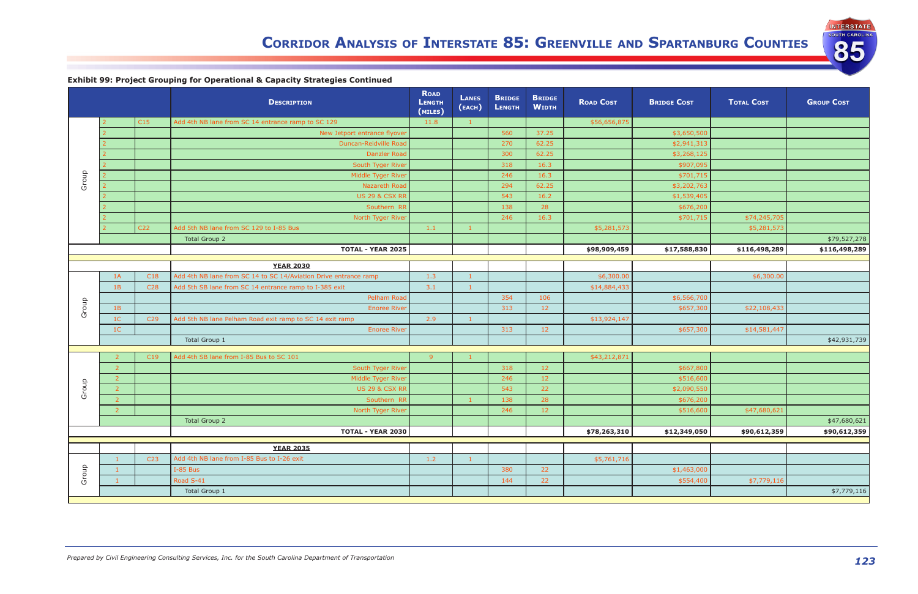| <b>INTERSTATE</b>     |
|-----------------------|
| <b>SOUTH CAROLINA</b> |
|                       |
|                       |
|                       |

|       |                |                 | <b>DESCRIPTION</b>                                               | <b>ROAD</b><br><b>LENGTH</b><br>(MILES) | <b>LANES</b><br>(EACH) | <b>BRIDGE</b><br><b>LENGTH</b> | <b>BRIDGE</b><br><b>WIDTH</b> | <b>ROAD COST</b> | <b>BRIDGE COST</b> | <b>TOTAL COST</b> | <b>GROUP COST</b> |
|-------|----------------|-----------------|------------------------------------------------------------------|-----------------------------------------|------------------------|--------------------------------|-------------------------------|------------------|--------------------|-------------------|-------------------|
|       |                | C15             | Add 4th NB lane from SC 14 entrance ramp to SC 129               | 11.8                                    | $\mathbf{1}$           |                                |                               | \$56,656,875     |                    |                   |                   |
|       |                |                 | New Jetport entrance flyover                                     |                                         |                        | 560                            | 37.25                         |                  | \$3,650,500        |                   |                   |
|       |                |                 | Duncan-Reidville Road                                            |                                         |                        | 270                            | 62.25                         |                  | \$2,941,313        |                   |                   |
|       |                |                 | <b>Danzler Road</b>                                              |                                         |                        | 300                            | 62.25                         |                  | \$3,268,125        |                   |                   |
|       |                |                 | South Tyger River                                                |                                         |                        | 318                            | 16.3                          |                  | \$907,095          |                   |                   |
| Group |                |                 | Middle Tyger River                                               |                                         |                        | 246                            | 16.3                          |                  | \$701,715          |                   |                   |
|       |                |                 | Nazareth Road                                                    |                                         |                        | 294                            | 62.25                         |                  | \$3,202,763        |                   |                   |
|       |                |                 | <b>US 29 &amp; CSX RR</b>                                        |                                         |                        | 543                            | 16.2                          |                  | \$1,539,405        |                   |                   |
|       |                |                 | Southern RR                                                      |                                         |                        | 138                            | 28                            |                  | \$676,200          |                   |                   |
|       |                |                 | North Tyger River                                                |                                         |                        | 246                            | 16.3                          |                  | \$701,715          | \$74,245,705      |                   |
|       |                | C <sub>22</sub> | Add 5th NB lane from SC 129 to I-85 Bus                          | 1.1                                     |                        |                                |                               | \$5,281,573      |                    | \$5,281,573       |                   |
|       |                |                 | <b>Total Group 2</b>                                             |                                         |                        |                                |                               |                  |                    |                   | \$79,527,278      |
|       |                |                 | <b>TOTAL - YEAR 2025</b>                                         |                                         |                        |                                |                               | \$98,909,459     | \$17,588,830       | \$116,498,289     | \$116,498,289     |
|       |                |                 | <b>YEAR 2030</b>                                                 |                                         |                        |                                |                               |                  |                    |                   |                   |
|       | 1A             | C18             | Add 4th NB lane from SC 14 to SC 14/Aviation Drive entrance ramp | 1.3                                     |                        |                                |                               | \$6,300.00       |                    | \$6,300.00        |                   |
|       | 1B             | C <sub>28</sub> | Add 5th SB lane from SC 14 entrance ramp to I-385 exit           | 3.1                                     |                        |                                |                               | \$14,884,433     |                    |                   |                   |
|       |                |                 | Pelham Road                                                      |                                         |                        | 354                            | 106                           |                  | \$6,566,700        |                   |                   |
| Group | 1B             |                 | <b>Enoree River</b>                                              |                                         |                        | 313                            | 12                            |                  | \$657,300          | \$22,108,433      |                   |
|       | 1 <sup>C</sup> | C <sub>29</sub> | Add 5th NB lane Pelham Road exit ramp to SC 14 exit ramp         | 2.9                                     | $\blacksquare$         |                                |                               | \$13,924,147     |                    |                   |                   |
|       | 1 <sup>C</sup> |                 | <b>Enoree River</b>                                              |                                         |                        | 313                            | 12                            |                  | \$657,300          | \$14,581,447      |                   |
|       |                |                 | Total Group 1                                                    |                                         |                        |                                |                               |                  |                    |                   | \$42,931,739      |
|       |                |                 |                                                                  |                                         |                        |                                |                               |                  |                    |                   |                   |
|       |                | C19             | Add 4th SB lane from I-85 Bus to SC 101                          | 9                                       |                        |                                |                               | \$43,212,871     |                    |                   |                   |
|       | $\overline{2}$ |                 | South Tyger River                                                |                                         |                        | 318                            | 12                            |                  | \$667,800          |                   |                   |
|       | $\overline{2}$ |                 | Middle Tyger River                                               |                                         |                        | 246                            | 12                            |                  | \$516,600          |                   |                   |
| Group |                |                 | <b>US 29 &amp; CSX RR</b>                                        |                                         |                        | 543                            | 22                            |                  | \$2,090,550        |                   |                   |
|       | -2             |                 | Southern RR                                                      |                                         | -1                     | 138                            | 28                            |                  | \$676,200          |                   |                   |
|       | $\overline{2}$ |                 | North Tyger River                                                |                                         |                        | 246                            | 12                            |                  | \$516,600          | \$47,680,621      |                   |
|       |                |                 | <b>Total Group 2</b>                                             |                                         |                        |                                |                               |                  |                    |                   | \$47,680,621      |
|       |                |                 | <b>TOTAL - YEAR 2030</b>                                         |                                         |                        |                                |                               | \$78,263,310     | \$12,349,050       | \$90,612,359      | \$90,612,359      |
|       |                |                 | <b>YEAR 2035</b>                                                 |                                         |                        |                                |                               |                  |                    |                   |                   |
|       |                | C <sub>23</sub> | Add 4th NB lane from I-85 Bus to I-26 exit                       | 1.2                                     | -1                     |                                |                               | \$5,761,716      |                    |                   |                   |
|       |                |                 | I-85 Bus                                                         |                                         |                        | 380                            | 22                            |                  | \$1,463,000        |                   |                   |
| Group |                |                 | Road S-41                                                        |                                         |                        | 144                            | 22                            |                  | \$554,400          | \$7,779,116       |                   |
|       |                |                 | Total Group 1                                                    |                                         |                        |                                |                               |                  |                    |                   | \$7,779,116       |
|       |                |                 |                                                                  |                                         |                        |                                |                               |                  |                    |                   |                   |

**Exhibit 99: Project Grouping for Operational & Capacity Strategies Continued**